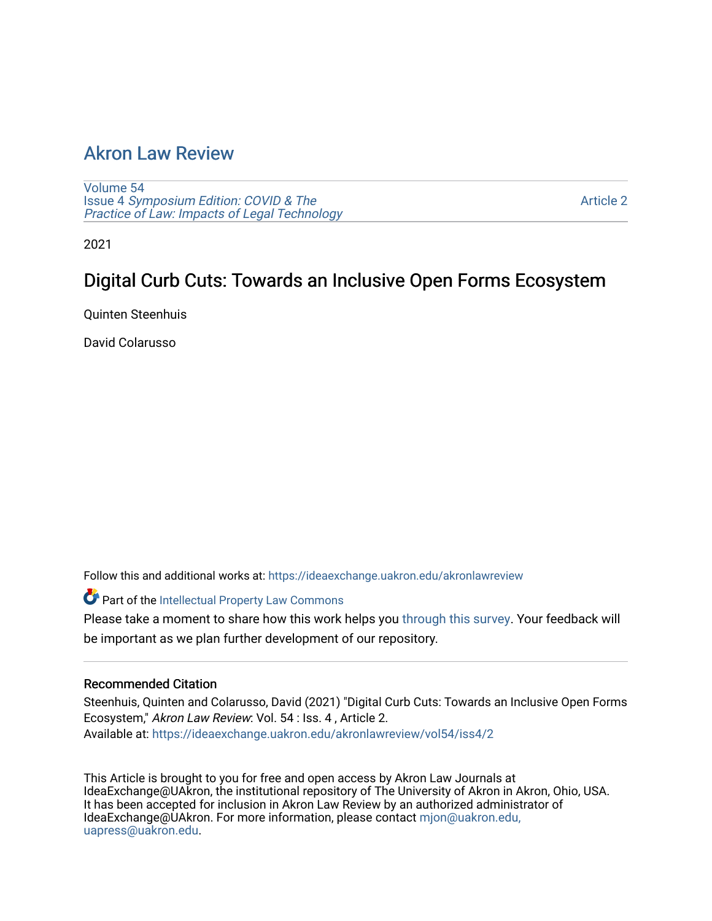## [Akron Law Review](https://ideaexchange.uakron.edu/akronlawreview)

[Volume 54](https://ideaexchange.uakron.edu/akronlawreview/vol54) Issue 4 [Symposium Edition: COVID & The](https://ideaexchange.uakron.edu/akronlawreview/vol54/iss4)  [Practice of Law: Impacts of Legal Technology](https://ideaexchange.uakron.edu/akronlawreview/vol54/iss4)

[Article 2](https://ideaexchange.uakron.edu/akronlawreview/vol54/iss4/2) 

2021

# Digital Curb Cuts: Towards an Inclusive Open Forms Ecosystem

Quinten Steenhuis

David Colarusso

Follow this and additional works at: [https://ideaexchange.uakron.edu/akronlawreview](https://ideaexchange.uakron.edu/akronlawreview?utm_source=ideaexchange.uakron.edu%2Fakronlawreview%2Fvol54%2Fiss4%2F2&utm_medium=PDF&utm_campaign=PDFCoverPages)

Part of the [Intellectual Property Law Commons](http://network.bepress.com/hgg/discipline/896?utm_source=ideaexchange.uakron.edu%2Fakronlawreview%2Fvol54%2Fiss4%2F2&utm_medium=PDF&utm_campaign=PDFCoverPages) 

Please take a moment to share how this work helps you [through this survey](http://survey.az1.qualtrics.com/SE/?SID=SV_eEVH54oiCbOw05f&URL=https://ideaexchange.uakron.edu/akronlawreview/vol54/iss4/2). Your feedback will be important as we plan further development of our repository.

## Recommended Citation

Steenhuis, Quinten and Colarusso, David (2021) "Digital Curb Cuts: Towards an Inclusive Open Forms Ecosystem," Akron Law Review: Vol. 54 : Iss. 4 , Article 2. Available at: [https://ideaexchange.uakron.edu/akronlawreview/vol54/iss4/2](https://ideaexchange.uakron.edu/akronlawreview/vol54/iss4/2?utm_source=ideaexchange.uakron.edu%2Fakronlawreview%2Fvol54%2Fiss4%2F2&utm_medium=PDF&utm_campaign=PDFCoverPages) 

This Article is brought to you for free and open access by Akron Law Journals at IdeaExchange@UAkron, the institutional repository of The University of Akron in Akron, Ohio, USA. It has been accepted for inclusion in Akron Law Review by an authorized administrator of IdeaExchange@UAkron. For more information, please contact [mjon@uakron.edu,](mailto:mjon@uakron.edu,%20uapress@uakron.edu) [uapress@uakron.edu.](mailto:mjon@uakron.edu,%20uapress@uakron.edu)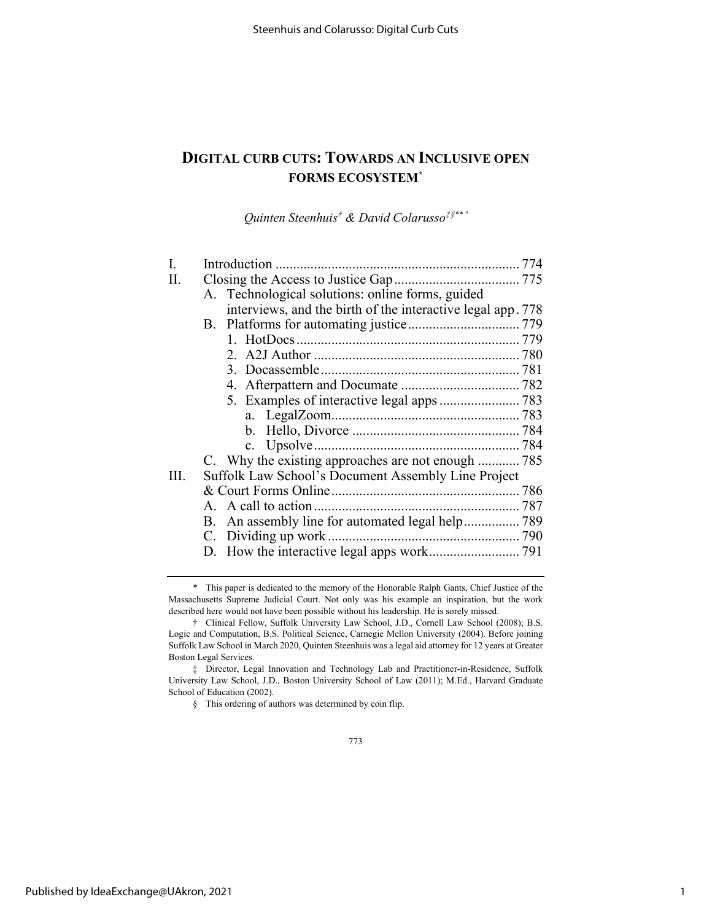## **DIGITAL CURB CUTS: TOWARDS AN INCLUSIVE OPEN FORMS ECOSYSTEM[\\*](#page-1-0)**

*Quinten Steenhuis[†](#page-1-1) & David Colarusso[‡](#page-1-2)[§](#page-1-3)\*\* ª* 

| I.   |                                                             |  |
|------|-------------------------------------------------------------|--|
| H.   |                                                             |  |
|      | A. Technological solutions: online forms, guided            |  |
|      | interviews, and the birth of the interactive legal app. 778 |  |
|      |                                                             |  |
|      |                                                             |  |
|      |                                                             |  |
|      |                                                             |  |
|      |                                                             |  |
|      |                                                             |  |
|      |                                                             |  |
|      |                                                             |  |
|      |                                                             |  |
|      | C. Why the existing approaches are not enough 785           |  |
| III. | Suffolk Law School's Document Assembly Line Project         |  |
|      |                                                             |  |
|      |                                                             |  |
|      |                                                             |  |
|      |                                                             |  |
|      |                                                             |  |
|      |                                                             |  |

<span id="page-1-0"></span><sup>\*</sup> This paper is dedicated to the memory of the Honorable Ralph Gants, Chief Justice of the Massachusetts Supreme Judicial Court. Not only was his example an inspiration, but the work described here would not have been possible without his leadership. He is sorely missed.

<span id="page-1-1"></span><sup>†</sup> Clinical Fellow, Suffolk University Law School, J.D., Cornell Law School (2008); B.S. Logic and Computation, B.S. Political Science, Carnegie Mellon University (2004). Before joining Suffolk Law School in March 2020, Quinten Steenhuis was a legal aid attorney for 12 years at Greater Boston Legal Services.

<span id="page-1-3"></span><span id="page-1-2"></span><sup>‡</sup> Director, Legal Innovation and Technology Lab and Practitioner-in-Residence, Suffolk University Law School, J.D., Boston University School of Law (2011); M.Ed., Harvard Graduate School of Education (2002).

<sup>§</sup> This ordering of authors was determined by coin flip.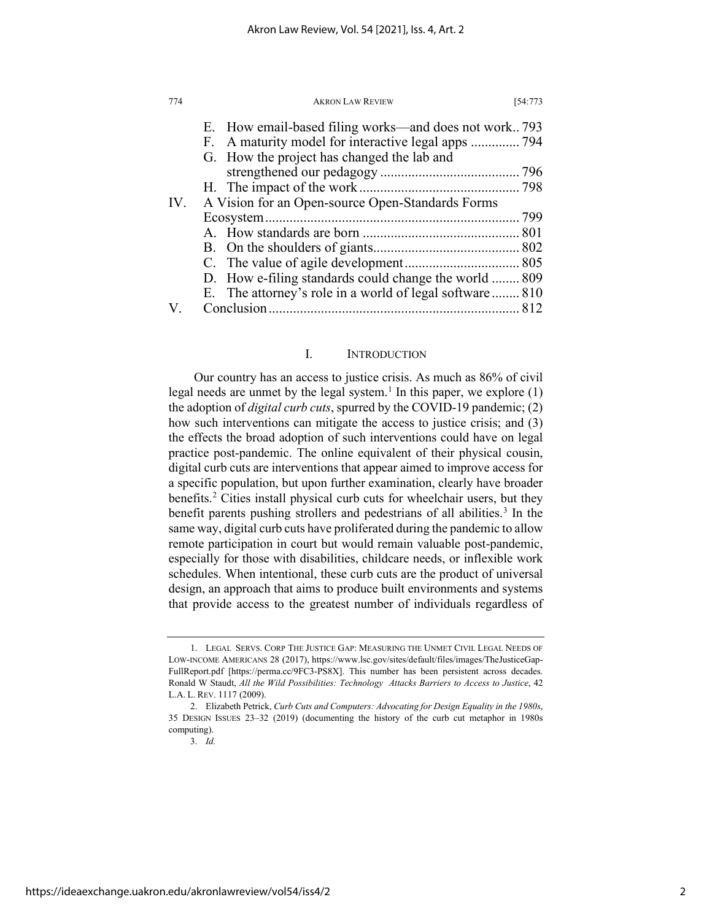| 774 | <b>AKRON LAW REVIEW</b>                                 | [54:773] |
|-----|---------------------------------------------------------|----------|
|     | E. How email-based filing works—and does not work 793   |          |
|     | F. A maturity model for interactive legal apps  794     |          |
|     | G. How the project has changed the lab and              |          |
|     |                                                         |          |
|     |                                                         |          |
| IV. | A Vision for an Open-source Open-Standards Forms        |          |
|     |                                                         |          |
|     |                                                         |          |
|     |                                                         |          |
|     |                                                         |          |
|     | D. How e-filing standards could change the world  809   |          |
|     | E. The attorney's role in a world of legal software 810 |          |
|     |                                                         |          |

## <span id="page-2-3"></span>I. INTRODUCTION

Our country has an access to justice crisis. As much as 86% of civil legal needs are unmet by the legal system.<sup>[1](#page-2-0)</sup> In this paper, we explore  $(1)$ the adoption of *digital curb cuts*, spurred by the COVID-19 pandemic; (2) how such interventions can mitigate the access to justice crisis; and (3) the effects the broad adoption of such interventions could have on legal practice post-pandemic. The online equivalent of their physical cousin, digital curb cuts are interventions that appear aimed to improve access for a specific population, but upon further examination, clearly have broader benefits.<sup>[2](#page-2-1)</sup> Cities install physical curb cuts for wheelchair users, but they benefit parents pushing strollers and pedestrians of all abilities.<sup>[3](#page-2-2)</sup> In the same way, digital curb cuts have proliferated during the pandemic to allow remote participation in court but would remain valuable post-pandemic, especially for those with disabilities, childcare needs, or inflexible work schedules. When intentional, these curb cuts are the product of universal design, an approach that aims to produce built environments and systems that provide access to the greatest number of individuals regardless of

<span id="page-2-0"></span><sup>1.</sup> LEGAL SERVS. CORP THE JUSTICE GAP: MEASURING THE UNMET CIVIL LEGAL NEEDS OF LOW-INCOME AMERICANS 28 (2017), https://www.lsc.gov/sites/default/files/images/TheJusticeGap-FullReport.pdf [https://perma.cc/9FC3-PS8X]. This number has been persistent across decades. Ronald W Staudt, *All the Wild Possibilities: Technology Attacks Barriers to Access to Justice*, 42 L.A. L. REV. 1117 (2009).

<span id="page-2-2"></span><span id="page-2-1"></span><sup>2.</sup> Elizabeth Petrick, *Curb Cuts and Computers: Advocating for Design Equality in the 1980s*, 35 DESIGN ISSUES 23–32 (2019) (documenting the history of the curb cut metaphor in 1980s computing).

<sup>3.</sup> *Id.*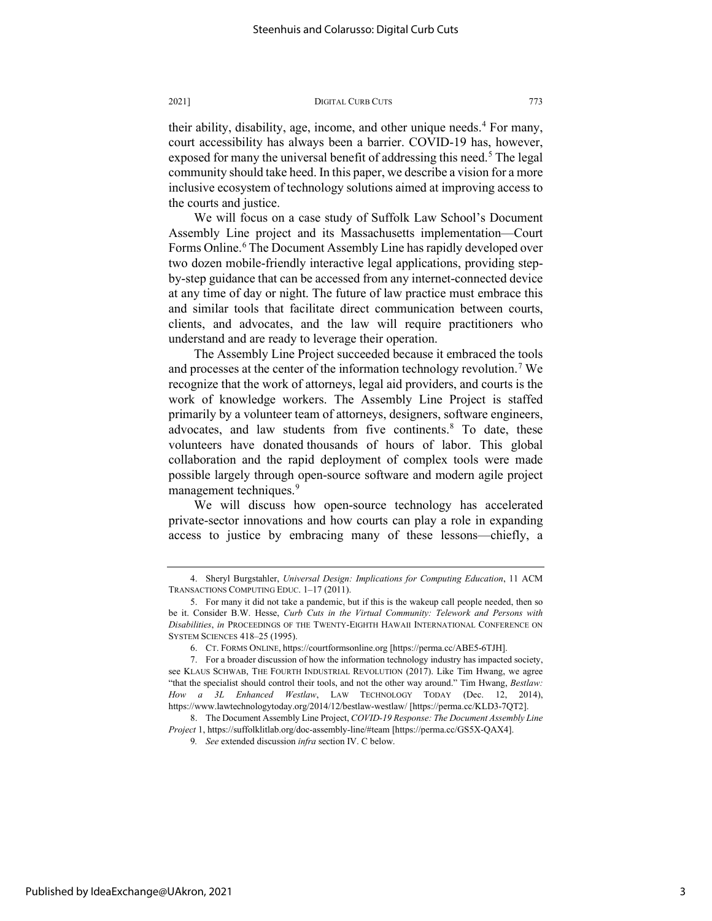their ability, disability, age, income, and other unique needs.<sup>[4](#page-3-0)</sup> For many, court accessibility has always been a barrier. COVID-19 has, however, exposed for many the universal benefit of addressing this need.<sup>[5](#page-3-1)</sup> The legal community should take heed. In this paper, we describe a vision for a more inclusive ecosystem of technology solutions aimed at improving access to the courts and justice.

We will focus on a case study of Suffolk Law School's Document Assembly Line project and its Massachusetts implementation—Court Forms Online.<sup>6</sup> The Document Assembly Line has rapidly developed over two dozen mobile-friendly interactive legal applications, providing stepby-step guidance that can be accessed from any internet-connected device at any time of day or night. The future of law practice must embrace this and similar tools that facilitate direct communication between courts, clients, and advocates, and the law will require practitioners who understand and are ready to leverage their operation.

The Assembly Line Project succeeded because it embraced the tools and processes at the center of the information technology revolution.<sup>[7](#page-3-3)</sup> We recognize that the work of attorneys, legal aid providers, and courts is the work of knowledge workers. The Assembly Line Project is staffed primarily by a volunteer team of attorneys, designers, software engineers, advocates, and law students from five continents.<sup>[8](#page-3-4)</sup> To date, these volunteers have donated thousands of hours of labor. This global collaboration and the rapid deployment of complex tools were made possible largely through open-source software and modern agile project management techniques.<sup>[9](#page-3-5)</sup>

We will discuss how open-source technology has accelerated private-sector innovations and how courts can play a role in expanding access to justice by embracing many of these lessons—chiefly, a

<span id="page-3-0"></span><sup>4.</sup> Sheryl Burgstahler, *Universal Design: Implications for Computing Education*, 11 ACM TRANSACTIONS COMPUTING EDUC. 1–17 (2011).

<span id="page-3-1"></span><sup>5.</sup> For many it did not take a pandemic, but if this is the wakeup call people needed, then so be it. Consider B.W. Hesse, *Curb Cuts in the Virtual Community: Telework and Persons with Disabilities*, *in* PROCEEDINGS OF THE TWENTY-EIGHTH HAWAII INTERNATIONAL CONFERENCE ON SYSTEM SCIENCES 418–25 (1995).

<sup>6.</sup> CT. FORMS ONLINE, https://courtformsonline.org [https://perma.cc/ABE5-6TJH].

<span id="page-3-3"></span><span id="page-3-2"></span><sup>7.</sup> For a broader discussion of how the information technology industry has impacted society, see KLAUS SCHWAB, THE FOURTH INDUSTRIAL REVOLUTION (2017). Like Tim Hwang, we agree "that the specialist should control their tools, and not the other way around." Tim Hwang, *Bestlaw*: *How a 3L Enhanced Westlaw*, LAW TECHNOLOGY TODAY (Dec. 12, 2014), https://www.lawtechnologytoday.org/2014/12/bestlaw-westlaw/ [https://perma.cc/KLD3-7QT2].

<span id="page-3-5"></span><span id="page-3-4"></span><sup>8.</sup> The Document Assembly Line Project, *COVID-19 Response: The Document Assembly Line Project* 1, https://suffolklitlab.org/doc-assembly-line/#team [https://perma.cc/GS5X-QAX4].

<sup>9</sup>*. See* extended discussion *infra* section IV. C below.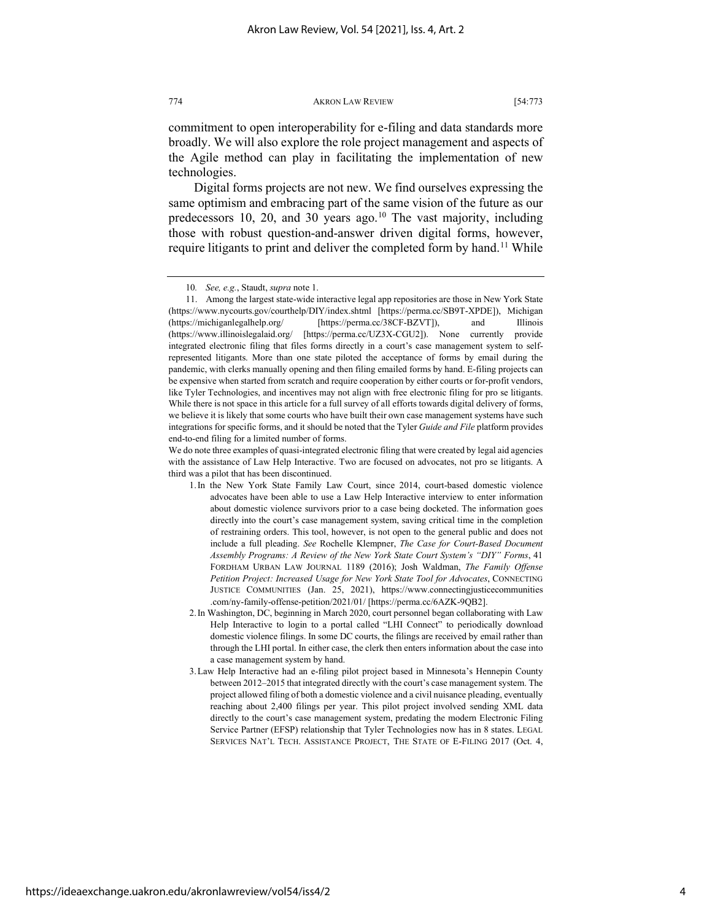commitment to open interoperability for e-filing and data standards more broadly. We will also explore the role project management and aspects of the Agile method can play in facilitating the implementation of new technologies.

Digital forms projects are not new. We find ourselves expressing the same optimism and embracing part of the same vision of the future as our predecessors [10](#page-4-0), 20, and 30 years ago.<sup>10</sup> The vast majority, including those with robust question-and-answer driven digital forms, however, require litigants to print and deliver the completed form by hand.<sup>[11](#page-4-1)</sup> While

We do note three examples of quasi-integrated electronic filing that were created by legal aid agencies with the assistance of Law Help Interactive. Two are focused on advocates, not pro se litigants. A third was a pilot that has been discontinued.

<span id="page-4-2"></span><sup>10</sup>*. See, e.g.*, Staudt, *supra* not[e 1.](#page-2-3)

<span id="page-4-1"></span><span id="page-4-0"></span><sup>11.</sup> Among the largest state-wide interactive legal app repositories are those in New York State (https://www.nycourts.gov/courthelp/DIY/index.shtml [https://perma.cc/SB9T-XPDE]), Michigan (https://michiganlegalhelp.org/ [https://perma.cc/38CF-BZVT]), and Illinois (https://www.illinoislegalaid.org/ [https://perma.cc/UZ3X-CGU2]). None currently provide integrated electronic filing that files forms directly in a court's case management system to selfrepresented litigants. More than one state piloted the acceptance of forms by email during the pandemic, with clerks manually opening and then filing emailed forms by hand. E-filing projects can be expensive when started from scratch and require cooperation by either courts or for-profit vendors, like Tyler Technologies, and incentives may not align with free electronic filing for pro se litigants. While there is not space in this article for a full survey of all efforts towards digital delivery of forms, we believe it is likely that some courts who have built their own case management systems have such integrations for specific forms, and it should be noted that the Tyler *Guide and File* platform provides end-to-end filing for a limited number of forms.

<sup>1.</sup>In the New York State Family Law Court, since 2014, court-based domestic violence advocates have been able to use a Law Help Interactive interview to enter information about domestic violence survivors prior to a case being docketed. The information goes directly into the court's case management system, saving critical time in the completion of restraining orders. This tool, however, is not open to the general public and does not include a full pleading. *See* Rochelle Klempner, *The Case for Court-Based Document Assembly Programs: A Review of the New York State Court System's "DIY" Forms*, 41 FORDHAM URBAN LAW JOURNAL 1189 (2016); Josh Waldman, *The Family Offense Petition Project: Increased Usage for New York State Tool for Advocates*, CONNECTING JUSTICE COMMUNITIES (Jan. 25, 2021), https://www.connectingjusticecommunities .com/ny-family-offense-petition/2021/01/ [https://perma.cc/6AZK-9QB2].

<sup>2.</sup>In Washington, DC, beginning in March 2020, court personnel began collaborating with Law Help Interactive to login to a portal called "LHI Connect" to periodically download domestic violence filings. In some DC courts, the filings are received by email rather than through the LHI portal. In either case, the clerk then enters information about the case into a case management system by hand.

<sup>3.</sup>Law Help Interactive had an e-filing pilot project based in Minnesota's Hennepin County between 2012–2015 that integrated directly with the court's case management system. The project allowed filing of both a domestic violence and a civil nuisance pleading, eventually reaching about 2,400 filings per year. This pilot project involved sending XML data directly to the court's case management system, predating the modern Electronic Filing Service Partner (EFSP) relationship that Tyler Technologies now has in 8 states. LEGAL SERVICES NAT'L TECH. ASSISTANCE PROJECT, THE STATE OF E-FILING 2017 (Oct. 4,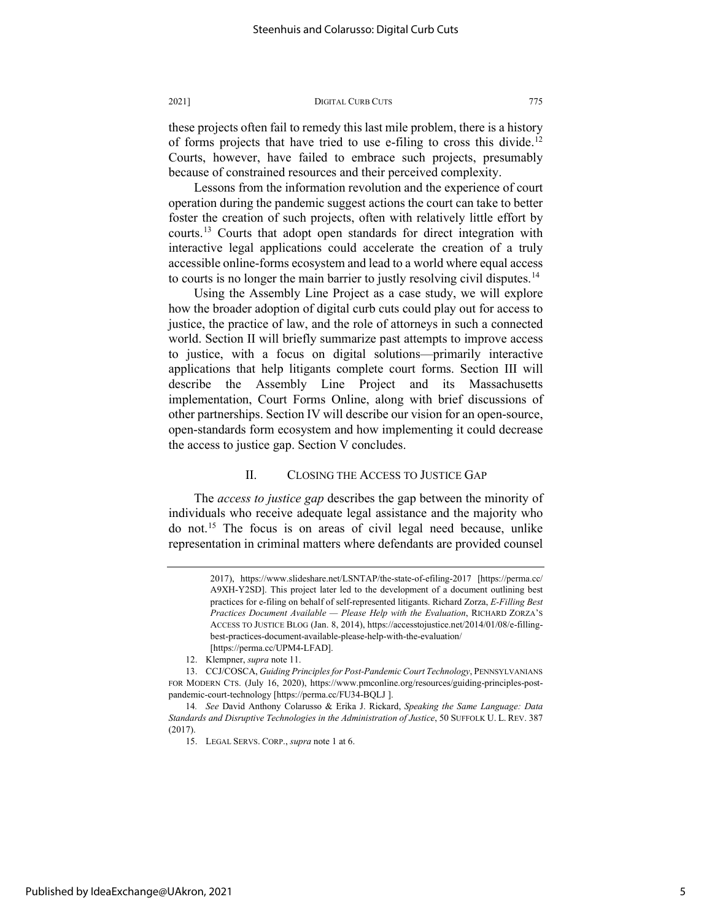these projects often fail to remedy this last mile problem, there is a history of forms projects that have tried to use e-filing to cross this divide.<sup>[12](#page-5-0)</sup> Courts, however, have failed to embrace such projects, presumably because of constrained resources and their perceived complexity.

Lessons from the information revolution and the experience of court operation during the pandemic suggest actions the court can take to better foster the creation of such projects, often with relatively little effort by courts.[13](#page-5-1) Courts that adopt open standards for direct integration with interactive legal applications could accelerate the creation of a truly accessible online-forms ecosystem and lead to a world where equal access to courts is no longer the main barrier to justly resolving civil disputes.<sup>[14](#page-5-2)</sup>

Using the Assembly Line Project as a case study, we will explore how the broader adoption of digital curb cuts could play out for access to justice, the practice of law, and the role of attorneys in such a connected world. Section II will briefly summarize past attempts to improve access to justice, with a focus on digital solutions—primarily interactive applications that help litigants complete court forms. Section III will describe the Assembly Line Project and its Massachusetts implementation, Court Forms Online, along with brief discussions of other partnerships. Section IV will describe our vision for an open-source, open-standards form ecosystem and how implementing it could decrease the access to justice gap. Section V concludes.

## II. CLOSING THE ACCESS TO JUSTICE GAP

The *access to justice gap* describes the gap between the minority of individuals who receive adequate legal assistance and the majority who do not.[15](#page-5-3) The focus is on areas of civil legal need because, unlike representation in criminal matters where defendants are provided counsel

<sup>2017),</sup> https://www.slideshare.net/LSNTAP/the-state-of-efiling-2017 [https://perma.cc/ A9XH-Y2SD]. This project later led to the development of a document outlining best practices for e-filing on behalf of self-represented litigants. Richard Zorza, *E-Filling Best Practices Document Available — Please Help with the Evaluation*, RICHARD ZORZA'S ACCESS TO JUSTICE BLOG (Jan. 8, 2014), https://accesstojustice.net/2014/01/08/e-fillingbest-practices-document-available-please-help-with-the-evaluation/ [https://perma.cc/UPM4-LFAD].

<sup>12.</sup> Klempner, *supra* not[e 11.](#page-4-2) 

<span id="page-5-1"></span><span id="page-5-0"></span><sup>13.</sup> CCJ/COSCA, *Guiding Principles for Post-Pandemic Court Technology*, PENNSYLVANIANS FOR MODERN CTS. (July 16, 2020), https://www.pmconline.org/resources/guiding-principles-postpandemic-court-technology [https://perma.cc/FU34-BQLJ ].

<span id="page-5-3"></span><span id="page-5-2"></span><sup>14</sup>*. See* David Anthony Colarusso & Erika J. Rickard, *Speaking the Same Language: Data Standards and Disruptive Technologies in the Administration of Justice*, 50 SUFFOLK U. L. REV. 387 (2017).

<sup>15.</sup> LEGAL SERVS. CORP., *supra* note 1 at 6.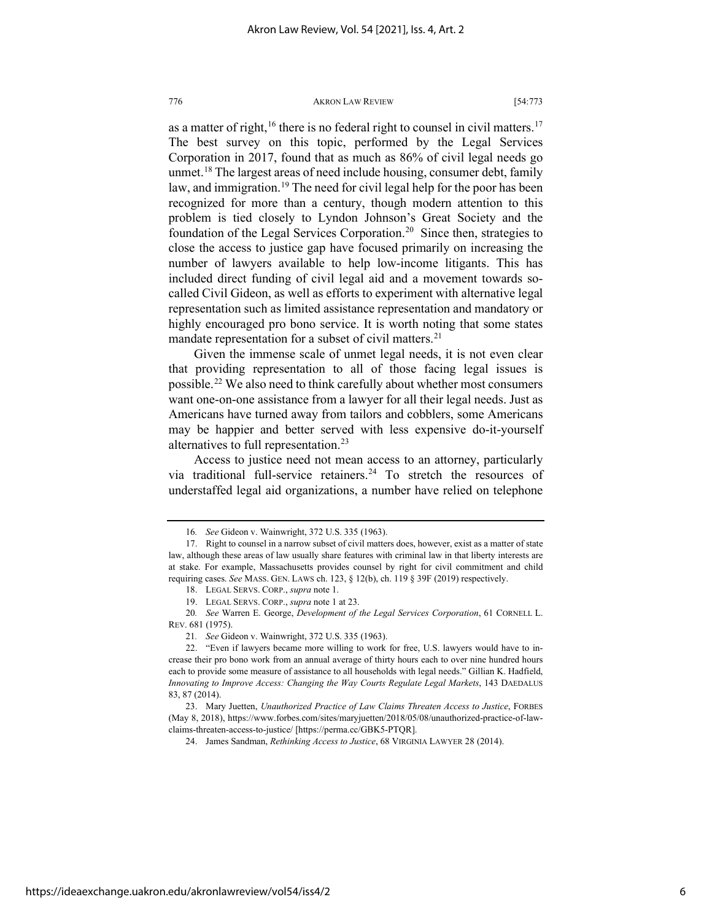as a matter of right,<sup>[16](#page-6-0)</sup> there is no federal right to counsel in civil matters.<sup>[17](#page-6-1)</sup> The best survey on this topic, performed by the Legal Services Corporation in 2017, found that as much as 86% of civil legal needs go unmet.<sup>[18](#page-6-2)</sup> The largest areas of need include housing, consumer debt, family law, and immigration.<sup>[19](#page-6-3)</sup> The need for civil legal help for the poor has been recognized for more than a century, though modern attention to this problem is tied closely to Lyndon Johnson's Great Society and the foundation of the Legal Services Corporation.<sup>20</sup> Since then, strategies to close the access to justice gap have focused primarily on increasing the number of lawyers available to help low-income litigants. This has included direct funding of civil legal aid and a movement towards socalled Civil Gideon, as well as efforts to experiment with alternative legal representation such as limited assistance representation and mandatory or highly encouraged pro bono service. It is worth noting that some states mandate representation for a subset of civil matters.<sup>[21](#page-6-5)</sup>

Given the immense scale of unmet legal needs, it is not even clear that providing representation to all of those facing legal issues is possible.[22](#page-6-6) We also need to think carefully about whether most consumers want one-on-one assistance from a lawyer for all their legal needs. Just as Americans have turned away from tailors and cobblers, some Americans may be happier and better served with less expensive do-it-yourself alternatives to full representation.<sup>[23](#page-6-7)</sup>

Access to justice need not mean access to an attorney, particularly via traditional full-service retainers.<sup>[24](#page-6-8)</sup> To stretch the resources of understaffed legal aid organizations, a number have relied on telephone

<sup>16</sup>*. See* Gideon v. Wainwright, 372 U.S. 335 (1963).

<span id="page-6-1"></span><span id="page-6-0"></span><sup>17.</sup> Right to counsel in a narrow subset of civil matters does, however, exist as a matter of state law, although these areas of law usually share features with criminal law in that liberty interests are at stake. For example, Massachusetts provides counsel by right for civil commitment and child requiring cases. *See* MASS. GEN. LAWS ch. 123, § 12(b), ch. 119 § 39F (2019) respectively.

<sup>18.</sup> LEGAL SERVS. CORP., *supra* note 1.

<sup>19.</sup> LEGAL SERVS. CORP., *supra* note 1 at 23.

<span id="page-6-4"></span><span id="page-6-3"></span><span id="page-6-2"></span><sup>20</sup>*. See* Warren E. George, *Development of the Legal Services Corporation*, 61 CORNELL L. REV. 681 (1975).

<sup>21</sup>*. See* Gideon v. Wainwright, 372 U.S. 335 (1963).

<span id="page-6-6"></span><span id="page-6-5"></span><sup>22. &</sup>quot;Even if lawyers became more willing to work for free, U.S. lawyers would have to increase their pro bono work from an annual average of thirty hours each to over nine hundred hours each to provide some measure of assistance to all households with legal needs." Gillian K. Hadfield, *Innovating to Improve Access: Changing the Way Courts Regulate Legal Markets*, 143 DAEDALUS 83, 87 (2014).

<span id="page-6-8"></span><span id="page-6-7"></span><sup>23.</sup> Mary Juetten, *Unauthorized Practice of Law Claims Threaten Access to Justice*, FORBES (May 8, 2018), https://www.forbes.com/sites/maryjuetten/2018/05/08/unauthorized-practice-of-lawclaims-threaten-access-to-justice/ [https://perma.cc/GBK5-PTQR].

<sup>24.</sup> James Sandman, *Rethinking Access to Justice*, 68 VIRGINIA LAWYER 28 (2014).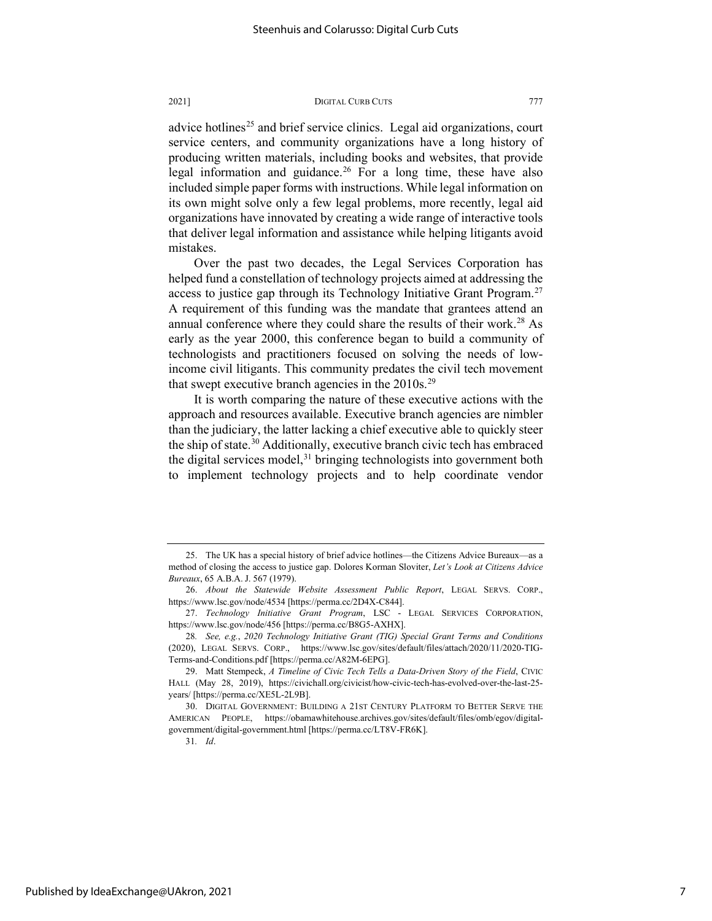advice hotlines<sup>[25](#page-7-0)</sup> and brief service clinics. Legal aid organizations, court service centers, and community organizations have a long history of producing written materials, including books and websites, that provide legal information and guidance.[26](#page-7-1) For a long time, these have also included simple paper forms with instructions. While legal information on its own might solve only a few legal problems, more recently, legal aid organizations have innovated by creating a wide range of interactive tools that deliver legal information and assistance while helping litigants avoid mistakes.

Over the past two decades, the Legal Services Corporation has helped fund a constellation of technology projects aimed at addressing the access to justice gap through its Technology Initiative Grant Program.<sup>[27](#page-7-2)</sup> A requirement of this funding was the mandate that grantees attend an annual conference where they could share the results of their work.<sup>[28](#page-7-3)</sup> As early as the year 2000, this conference began to build a community of technologists and practitioners focused on solving the needs of lowincome civil litigants. This community predates the civil tech movement that swept executive branch agencies in the  $2010s^{29}$  $2010s^{29}$  $2010s^{29}$ 

It is worth comparing the nature of these executive actions with the approach and resources available. Executive branch agencies are nimbler than the judiciary, the latter lacking a chief executive able to quickly steer the ship of state.<sup>[30](#page-7-5)</sup> Additionally, executive branch civic tech has embraced the digital services model, $31$  bringing technologists into government both to implement technology projects and to help coordinate vendor

<span id="page-7-0"></span><sup>25.</sup> The UK has a special history of brief advice hotlines—the Citizens Advice Bureaux—as a method of closing the access to justice gap. Dolores Korman Sloviter, *Let's Look at Citizens Advice Bureaux*, 65 A.B.A. J. 567 (1979).

<span id="page-7-1"></span><sup>26.</sup> *About the Statewide Website Assessment Public Report*, LEGAL SERVS. CORP., https://www.lsc.gov/node/4534 [https://perma.cc/2D4X-C844].

<span id="page-7-2"></span><sup>27.</sup> *Technology Initiative Grant Program*, LSC - LEGAL SERVICES CORPORATION, https://www.lsc.gov/node/456 [https://perma.cc/B8G5-AXHX].

<span id="page-7-3"></span><sup>28</sup>*. See, e.g.*, *2020 Technology Initiative Grant (TIG) Special Grant Terms and Conditions* (2020), LEGAL SERVS. CORP., https://www.lsc.gov/sites/default/files/attach/2020/11/2020-TIG-Terms-and-Conditions.pdf [https://perma.cc/A82M-6EPG].

<span id="page-7-4"></span><sup>29.</sup> Matt Stempeck, *A Timeline of Civic Tech Tells a Data-Driven Story of the Field*, CIVIC HALL (May 28, 2019), https://civichall.org/civicist/how-civic-tech-has-evolved-over-the-last-25 years/ [https://perma.cc/XE5L-2L9B].

<span id="page-7-6"></span><span id="page-7-5"></span><sup>30.</sup> DIGITAL GOVERNMENT: BUILDING A 21ST CENTURY PLATFORM TO BETTER SERVE THE AMERICAN PEOPLE, https://obamawhitehouse.archives.gov/sites/default/files/omb/egov/digitalgovernment/digital-government.html [https://perma.cc/LT8V-FR6K].

<sup>31</sup>*. Id*.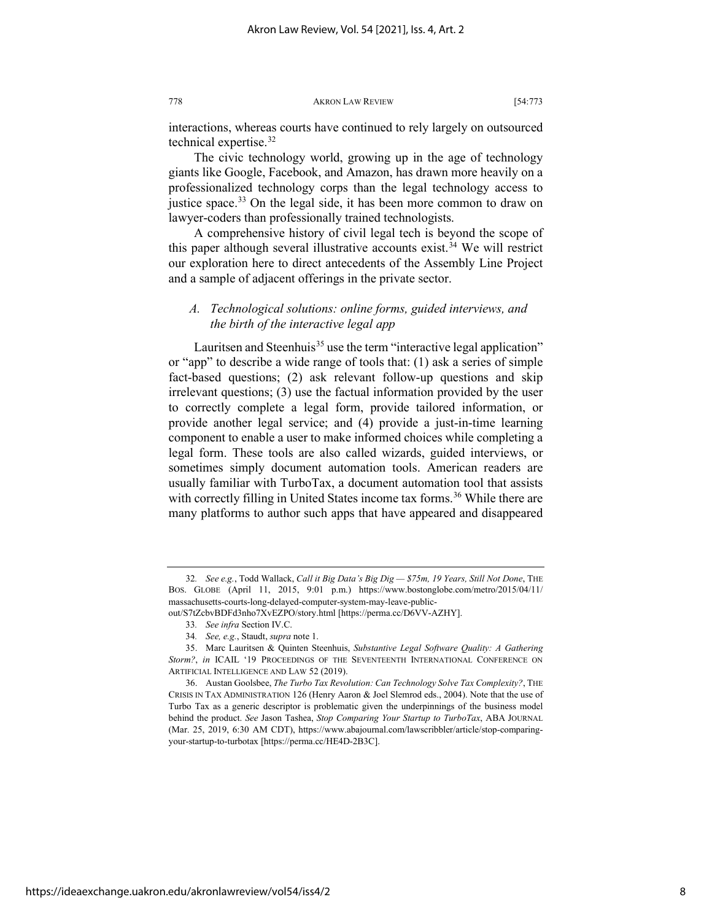interactions, whereas courts have continued to rely largely on outsourced technical expertise[.32](#page-8-0)

The civic technology world, growing up in the age of technology giants like Google, Facebook, and Amazon, has drawn more heavily on a professionalized technology corps than the legal technology access to justice space.<sup>[33](#page-8-1)</sup> On the legal side, it has been more common to draw on lawyer-coders than professionally trained technologists.

A comprehensive history of civil legal tech is beyond the scope of this paper although several illustrative accounts exist.<sup>[34](#page-8-2)</sup> We will restrict our exploration here to direct antecedents of the Assembly Line Project and a sample of adjacent offerings in the private sector.

## <span id="page-8-5"></span>*A. Technological solutions: online forms, guided interviews, and the birth of the interactive legal app*

Lauritsen and Steenhuis<sup>[35](#page-8-3)</sup> use the term "interactive legal application" or "app" to describe a wide range of tools that: (1) ask a series of simple fact-based questions; (2) ask relevant follow-up questions and skip irrelevant questions; (3) use the factual information provided by the user to correctly complete a legal form, provide tailored information, or provide another legal service; and (4) provide a just-in-time learning component to enable a user to make informed choices while completing a legal form. These tools are also called wizards, guided interviews, or sometimes simply document automation tools. American readers are usually familiar with TurboTax, a document automation tool that assists with correctly filling in United States income tax forms.<sup>[36](#page-8-4)</sup> While there are many platforms to author such apps that have appeared and disappeared

<span id="page-8-0"></span><sup>32</sup>*. See e.g.*, Todd Wallack, *Call it Big Data's Big Dig — \$75m, 19 Years, Still Not Done*, THE BOS. GLOBE (April 11, 2015, 9:01 p.m.) https://www.bostonglobe.com/metro/2015/04/11/ massachusetts-courts-long-delayed-computer-system-may-leave-public-

<span id="page-8-1"></span>out/S7tZcbvBDFd3nho7XvEZPO/story.html [https://perma.cc/D6VV-AZHY].

<sup>33</sup>*. See infra* Section IV.C.

<sup>34</sup>*. See, e.g.*, Staudt, *supra* note 1.

<span id="page-8-3"></span><span id="page-8-2"></span><sup>35.</sup> Marc Lauritsen & Quinten Steenhuis, *Substantive Legal Software Quality: A Gathering Storm?*, *in* ICAIL '19 PROCEEDINGS OF THE SEVENTEENTH INTERNATIONAL CONFERENCE ON ARTIFICIAL INTELLIGENCE AND LAW 52 (2019).

<span id="page-8-4"></span><sup>36.</sup> Austan Goolsbee, *The Turbo Tax Revolution: Can Technology Solve Tax Complexity?*, THE CRISIS IN TAX ADMINISTRATION 126 (Henry Aaron & Joel Slemrod eds., 2004). Note that the use of Turbo Tax as a generic descriptor is problematic given the underpinnings of the business model behind the product. *See* Jason Tashea, *Stop Comparing Your Startup to TurboTax*, ABA JOURNAL (Mar. 25, 2019, 6:30 AM CDT), https://www.abajournal.com/lawscribbler/article/stop-comparingyour-startup-to-turbotax [https://perma.cc/HE4D-2B3C].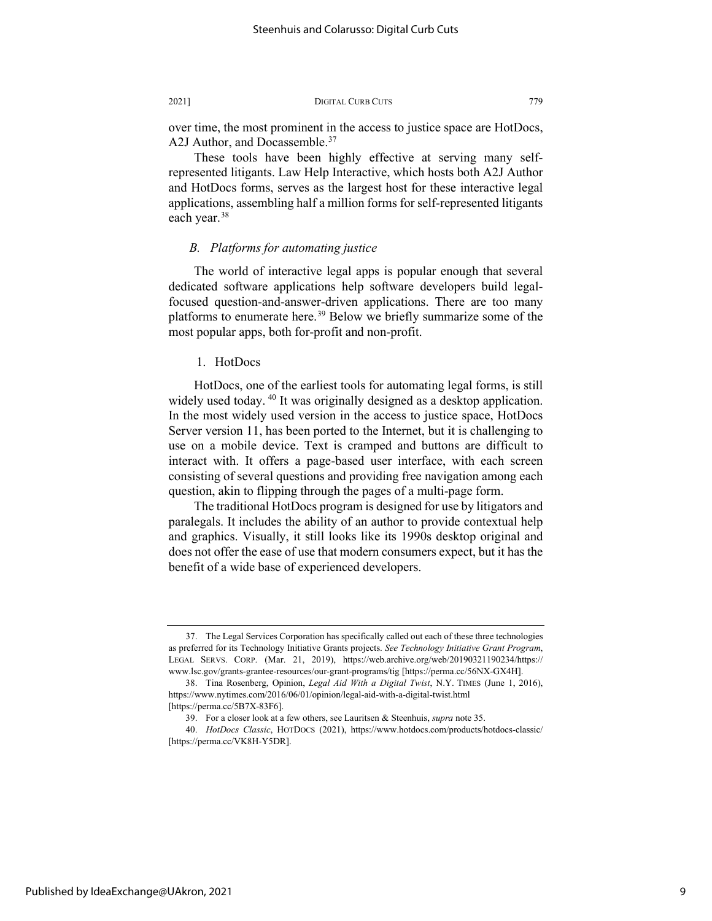over time, the most prominent in the access to justice space are HotDocs, A2J Author, and Docassemble.<sup>[37](#page-9-0)</sup>

These tools have been highly effective at serving many selfrepresented litigants. Law Help Interactive, which hosts both A2J Author and HotDocs forms, serves as the largest host for these interactive legal applications, assembling half a million forms for self-represented litigants each year.<sup>[38](#page-9-1)</sup>

### *B. Platforms for automating justice*

The world of interactive legal apps is popular enough that several dedicated software applications help software developers build legalfocused question-and-answer-driven applications. There are too many platforms to enumerate here.<sup>[39](#page-9-2)</sup> Below we briefly summarize some of the most popular apps, both for-profit and non-profit.

#### 1. HotDocs

HotDocs, one of the earliest tools for automating legal forms, is still widely used today.<sup>[40](#page-9-3)</sup> It was originally designed as a desktop application. In the most widely used version in the access to justice space, HotDocs Server version 11, has been ported to the Internet, but it is challenging to use on a mobile device. Text is cramped and buttons are difficult to interact with. It offers a page-based user interface, with each screen consisting of several questions and providing free navigation among each question, akin to flipping through the pages of a multi-page form.

The traditional HotDocs program is designed for use by litigators and paralegals. It includes the ability of an author to provide contextual help and graphics. Visually, it still looks like its 1990s desktop original and does not offer the ease of use that modern consumers expect, but it has the benefit of a wide base of experienced developers.

<span id="page-9-0"></span><sup>37.</sup> The Legal Services Corporation has specifically called out each of these three technologies as preferred for its Technology Initiative Grants projects. *See Technology Initiative Grant Program*, LEGAL SERVS. CORP. (Mar. 21, 2019), https://web.archive.org/web/20190321190234/https:// www.lsc.gov/grants-grantee-resources/our-grant-programs/tig [https://perma.cc/56NX-GX4H].

<span id="page-9-1"></span><sup>38.</sup> Tina Rosenberg, Opinion, *Legal Aid With a Digital Twist*, N.Y. TIMES (June 1, 2016), https://www.nytimes.com/2016/06/01/opinion/legal-aid-with-a-digital-twist.html [https://perma.cc/5B7X-83F6].

<sup>39.</sup> For a closer look at a few others, see Lauritsen & Steenhuis, *supra* not[e 35.](#page-8-5) 

<span id="page-9-3"></span><span id="page-9-2"></span><sup>40.</sup> *HotDocs Classic*, HOTDOCS (2021), https://www.hotdocs.com/products/hotdocs-classic/ [https://perma.cc/VK8H-Y5DR].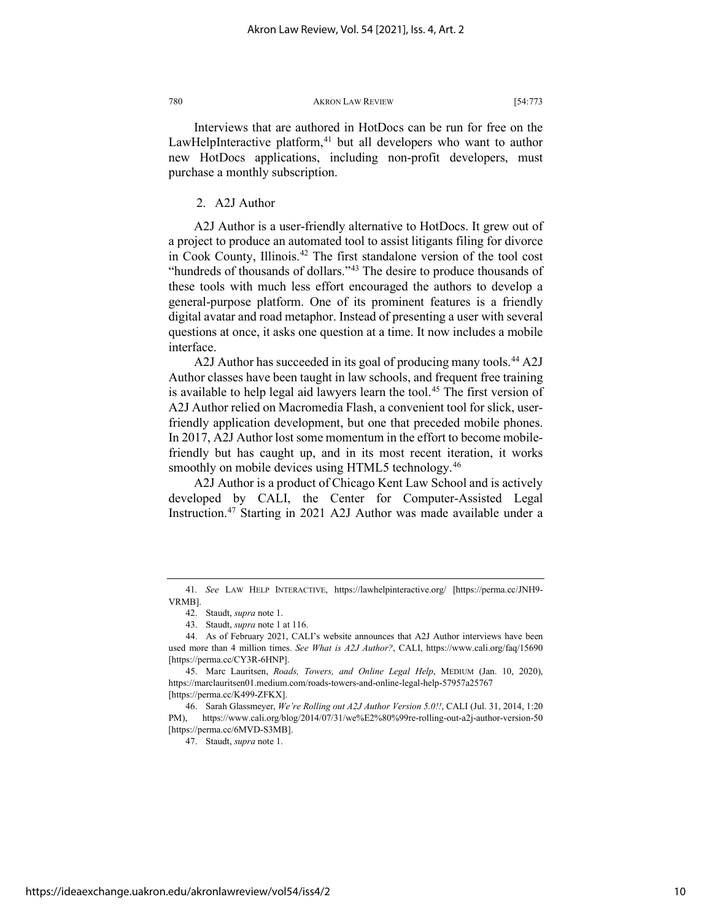Interviews that are authored in HotDocs can be run for free on the LawHelpInteractive platform, $41$  but all developers who want to author new HotDocs applications, including non-profit developers, must purchase a monthly subscription.

2. A2J Author

A2J Author is a user-friendly alternative to HotDocs. It grew out of a project to produce an automated tool to assist litigants filing for divorce in Cook County, Illinois.[42](#page-10-1) The first standalone version of the tool cost "hundreds of thousands of dollars."<sup>[43](#page-10-2)</sup> The desire to produce thousands of these tools with much less effort encouraged the authors to develop a general-purpose platform. One of its prominent features is a friendly digital avatar and road metaphor. Instead of presenting a user with several questions at once, it asks one question at a time. It now includes a mobile interface.

<span id="page-10-7"></span>A2J Author has succeeded in its goal of producing many tools.<sup>[44](#page-10-3)</sup> A2J Author classes have been taught in law schools, and frequent free training is available to help legal aid lawyers learn the tool.<sup>[45](#page-10-4)</sup> The first version of A2J Author relied on Macromedia Flash, a convenient tool for slick, userfriendly application development, but one that preceded mobile phones. In 2017, A2J Author lost some momentum in the effort to become mobilefriendly but has caught up, and in its most recent iteration, it works smoothly on mobile devices using HTML5 technology.<sup>[46](#page-10-5)</sup>

A2J Author is a product of Chicago Kent Law School and is actively developed by CALI, the Center for Computer-Assisted Legal Instruction.[47](#page-10-6) Starting in 2021 A2J Author was made available under a

47. Staudt, *supra* note 1.

<span id="page-10-1"></span><span id="page-10-0"></span><sup>41</sup>*. See* LAW HELP INTERACTIVE, https://lawhelpinteractive.org/ [https://perma.cc/JNH9- VRMB].

<sup>42.</sup> Staudt, *supra* note 1.

<sup>43.</sup> Staudt, *supra* note 1 at 116.

<span id="page-10-3"></span><span id="page-10-2"></span><sup>44.</sup> As of February 2021, CALI's website announces that A2J Author interviews have been used more than 4 million times. *See What is A2J Author?*, CALI, https://www.cali.org/faq/15690 [https://perma.cc/CY3R-6HNP].

<span id="page-10-4"></span><sup>45.</sup> Marc Lauritsen, *Roads, Towers, and Online Legal Help*, MEDIUM (Jan. 10, 2020), https://marclauritsen01.medium.com/roads-towers-and-online-legal-help-57957a25767 [https://perma.cc/K499-ZFKX].

<span id="page-10-6"></span><span id="page-10-5"></span><sup>46.</sup> Sarah Glassmeyer, *We're Rolling out A2J Author Version 5.0!!*, CALI (Jul. 31, 2014, 1:20 PM), https://www.cali.org/blog/2014/07/31/we%E2%80%99re-rolling-out-a2j-author-version-50 [https://perma.cc/6MVD-S3MB].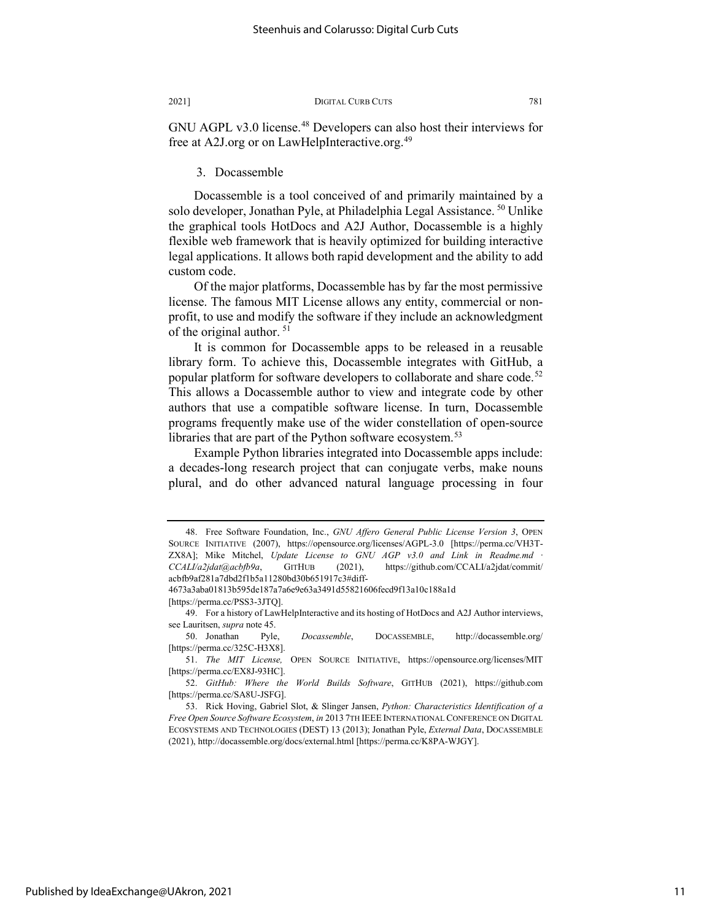GNU AGPL v3.0 license.<sup>[48](#page-11-0)</sup> Developers can also host their interviews for free at A2J.org or on LawHelpInteractive.org.<sup>[49](#page-11-1)</sup>

#### 3. Docassemble

Docassemble is a tool conceived of and primarily maintained by a solo developer, Jonathan Pyle, at Philadelphia Legal Assistance.<sup>50</sup> Unlike the graphical tools HotDocs and A2J Author, Docassemble is a highly flexible web framework that is heavily optimized for building interactive legal applications. It allows both rapid development and the ability to add custom code.

Of the major platforms, Docassemble has by far the most permissive license. The famous MIT License allows any entity, commercial or nonprofit, to use and modify the software if they include an acknowledgment of the original author.<sup>[51](#page-11-3)</sup>

It is common for Docassemble apps to be released in a reusable library form. To achieve this, Docassemble integrates with GitHub, a popular platform for software developers to collaborate and share code.<sup>[52](#page-11-4)</sup> This allows a Docassemble author to view and integrate code by other authors that use a compatible software license. In turn, Docassemble programs frequently make use of the wider constellation of open-source libraries that are part of the Python software ecosystem.<sup>[53](#page-11-5)</sup>

Example Python libraries integrated into Docassemble apps include: a decades-long research project that can conjugate verbs, make nouns plural, and do other advanced natural language processing in four

<span id="page-11-0"></span><sup>48.</sup> Free Software Foundation, Inc., *GNU Affero General Public License Version 3*, OPEN SOURCE INITIATIVE (2007), https://opensource.org/licenses/AGPL-3.0 [https://perma.cc/VH3T-ZX8A]; Mike Mitchel, *Update License to GNU AGP v3.0 and Link in Readme.md CCALI/a2jdat@acbfb9a*, GITHUB (2021), https://github.com/CCALI/a2jdat/commit/ acbfb9af281a7dbd2f1b5a11280bd30b651917c3#diff-

<span id="page-11-1"></span><sup>4673</sup>a3aba01813b595de187a7a6e9e63a3491d55821606fecd9f13a10c188a1d [https://perma.cc/PSS3-3JTQ].

<sup>49.</sup> For a history of LawHelpInteractive and its hosting of HotDocs and A2J Author interviews, see Lauritsen, *supra* not[e 45.](#page-10-7) 

<span id="page-11-2"></span><sup>50.</sup> Jonathan Pyle, *Docassemble*, DOCASSEMBLE, http://docassemble.org/ [https://perma.cc/325C-H3X8].

<span id="page-11-3"></span><sup>51.</sup> *The MIT License,* OPEN SOURCE INITIATIVE, https://opensource.org/licenses/MIT [https://perma.cc/EX8J-93HC].

<span id="page-11-4"></span><sup>52.</sup> *GitHub: Where the World Builds Software*, GITHUB (2021), https://github.com [https://perma.cc/SA8U-JSFG].

<span id="page-11-5"></span><sup>53.</sup> Rick Hoving, Gabriel Slot, & Slinger Jansen, *Python: Characteristics Identification of a Free Open Source Software Ecosystem*, *in* 2013 7TH IEEE INTERNATIONAL CONFERENCE ON DIGITAL ECOSYSTEMS AND TECHNOLOGIES (DEST) 13 (2013); Jonathan Pyle, *External Data*, DOCASSEMBLE (2021), http://docassemble.org/docs/external.html [https://perma.cc/K8PA-WJGY].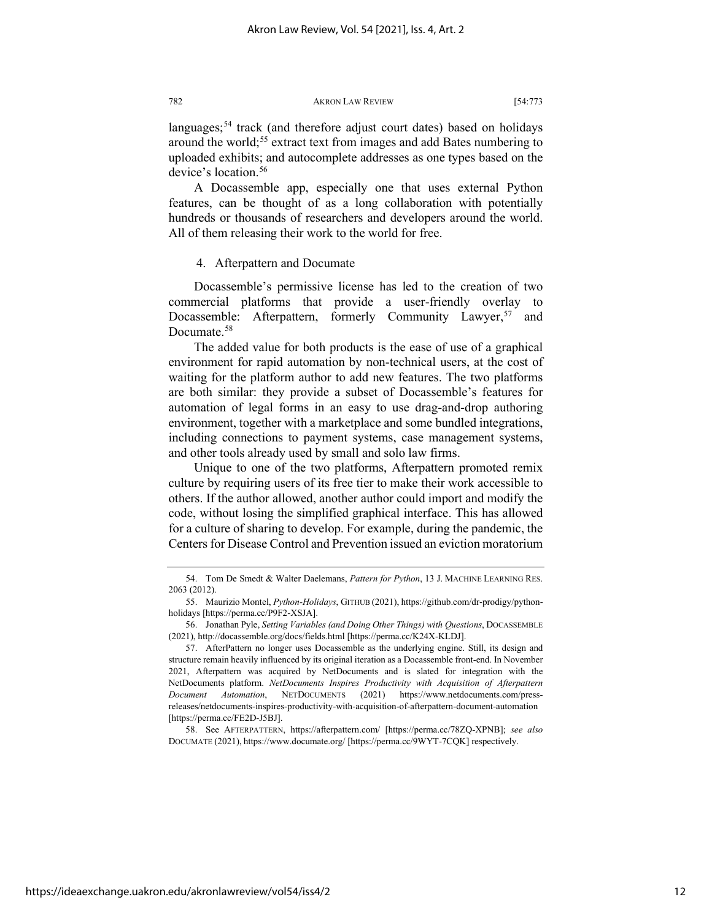languages;<sup>54</sup> track (and therefore adjust court dates) based on holidays around the world;<sup>[55](#page-12-1)</sup> extract text from images and add Bates numbering to uploaded exhibits; and autocomplete addresses as one types based on the device's location.<sup>[56](#page-12-2)</sup>

A Docassemble app, especially one that uses external Python features, can be thought of as a long collaboration with potentially hundreds or thousands of researchers and developers around the world. All of them releasing their work to the world for free.

#### 4. Afterpattern and Documate

Docassemble's permissive license has led to the creation of two commercial platforms that provide a user-friendly overlay to Docassemble: Afterpattern, formerly Community Lawyer,<sup>57</sup> and Documate.<sup>58</sup>

The added value for both products is the ease of use of a graphical environment for rapid automation by non-technical users, at the cost of waiting for the platform author to add new features. The two platforms are both similar: they provide a subset of Docassemble's features for automation of legal forms in an easy to use drag-and-drop authoring environment, together with a marketplace and some bundled integrations, including connections to payment systems, case management systems, and other tools already used by small and solo law firms.

Unique to one of the two platforms, Afterpattern promoted remix culture by requiring users of its free tier to make their work accessible to others. If the author allowed, another author could import and modify the code, without losing the simplified graphical interface. This has allowed for a culture of sharing to develop. For example, during the pandemic, the Centers for Disease Control and Prevention issued an eviction moratorium

<span id="page-12-4"></span>58. See AFTERPATTERN, https://afterpattern.com/ [https://perma.cc/78ZQ-XPNB]; *see also* DOCUMATE (2021), https://www.documate.org/ [https://perma.cc/9WYT-7CQK] respectively.

<span id="page-12-0"></span><sup>54.</sup> Tom De Smedt & Walter Daelemans, *Pattern for Python*, 13 J. MACHINE LEARNING RES. 2063 (2012).

<span id="page-12-1"></span><sup>55.</sup> Maurizio Montel, *Python-Holidays*, GITHUB (2021), https://github.com/dr-prodigy/pythonholidays [https://perma.cc/P9F2-XSJA].

<span id="page-12-2"></span><sup>56.</sup> Jonathan Pyle, *Setting Variables (and Doing Other Things) with Questions*, DOCASSEMBLE (2021), http://docassemble.org/docs/fields.html [https://perma.cc/K24X-KLDJ].

<span id="page-12-3"></span><sup>57.</sup> AfterPattern no longer uses Docassemble as the underlying engine. Still, its design and structure remain heavily influenced by its original iteration as a Docassemble front-end. In November 2021, Afterpattern was acquired by NetDocuments and is slated for integration with the NetDocuments platform. *NetDocuments Inspires Productivity with Acquisition of Afterpattern Document Automation*, NETDOCUMENTS (2021) https://www.netdocuments.com/pressreleases/netdocuments-inspires-productivity-with-acquisition-of-afterpattern-document-automation [https://perma.cc/FE2D-J5BJ].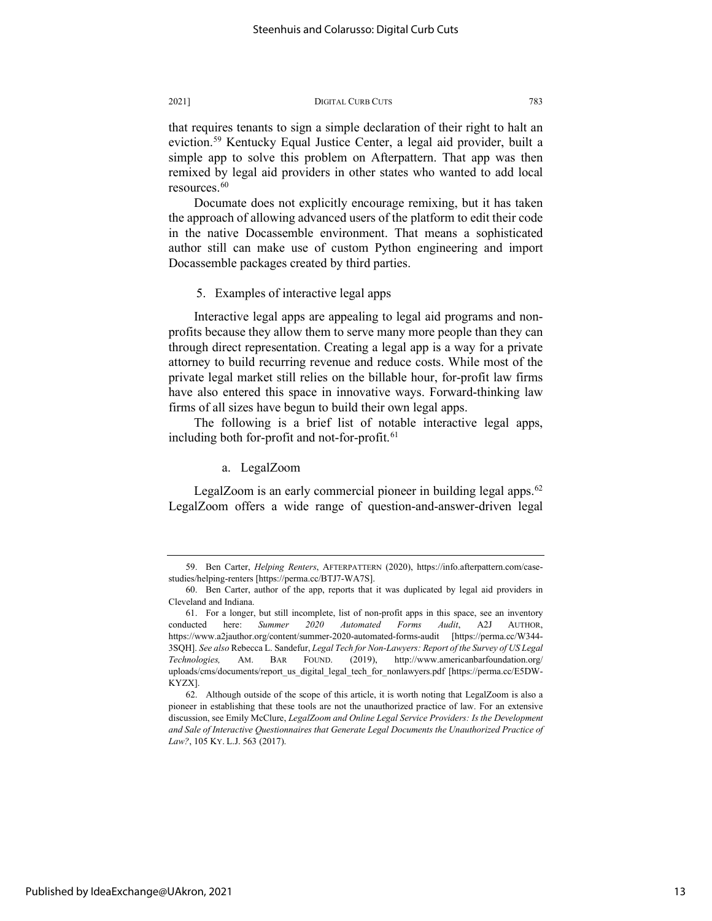that requires tenants to sign a simple declaration of their right to halt an eviction.[59](#page-13-0) Kentucky Equal Justice Center, a legal aid provider, built a simple app to solve this problem on Afterpattern. That app was then remixed by legal aid providers in other states who wanted to add local resources. $60$ 

Documate does not explicitly encourage remixing, but it has taken the approach of allowing advanced users of the platform to edit their code in the native Docassemble environment. That means a sophisticated author still can make use of custom Python engineering and import Docassemble packages created by third parties.

5. Examples of interactive legal apps

Interactive legal apps are appealing to legal aid programs and nonprofits because they allow them to serve many more people than they can through direct representation. Creating a legal app is a way for a private attorney to build recurring revenue and reduce costs. While most of the private legal market still relies on the billable hour, for-profit law firms have also entered this space in innovative ways. Forward-thinking law firms of all sizes have begun to build their own legal apps.

The following is a brief list of notable interactive legal apps, including both for-profit and not-for-profit.<sup>[61](#page-13-2)</sup>

a. LegalZoom

LegalZoom is an early commercial pioneer in building legal apps. $62$ LegalZoom offers a wide range of question-and-answer-driven legal

<span id="page-13-0"></span><sup>59.</sup> Ben Carter, *Helping Renters*, AFTERPATTERN (2020), https://info.afterpattern.com/casestudies/helping-renters [https://perma.cc/BTJ7-WA7S].

<span id="page-13-1"></span><sup>60.</sup> Ben Carter, author of the app, reports that it was duplicated by legal aid providers in Cleveland and Indiana.

<span id="page-13-2"></span><sup>61.</sup> For a longer, but still incomplete, list of non-profit apps in this space, see an inventory conducted here: *Summer 2020 Automated Forms Audit*, A2J AUTHOR, https://www.a2jauthor.org/content/summer-2020-automated-forms-audit [https://perma.cc/W344- 3SQH]. *See also* Rebecca L. Sandefur, *Legal Tech for Non-Lawyers: Report of the Survey of US Legal Technologies,* AM. BAR FOUND. (2019), http://www.americanbarfoundation.org/ uploads/cms/documents/report\_us\_digital\_legal\_tech\_for\_nonlawyers.pdf [https://perma.cc/E5DW-KYZX].

<span id="page-13-3"></span><sup>62.</sup> Although outside of the scope of this article, it is worth noting that LegalZoom is also a pioneer in establishing that these tools are not the unauthorized practice of law. For an extensive discussion, see Emily McClure, *LegalZoom and Online Legal Service Providers: Is the Development and Sale of Interactive Questionnaires that Generate Legal Documents the Unauthorized Practice of Law?*, 105 KY. L.J. 563 (2017).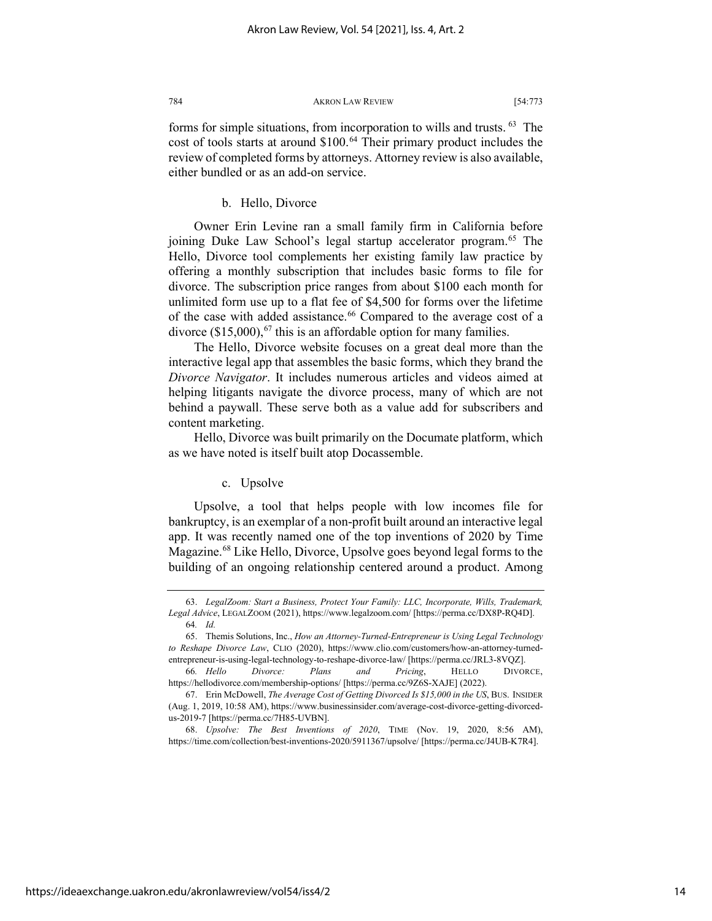forms for simple situations, from incorporation to wills and trusts. [63](#page-14-0) The cost of tools starts at around \$100.<sup>[64](#page-14-1)</sup> Their primary product includes the review of completed forms by attorneys. Attorney review is also available, either bundled or as an add-on service.

#### b. Hello, Divorce

Owner Erin Levine ran a small family firm in California before joining Duke Law School's legal startup accelerator program.<sup>[65](#page-14-2)</sup> The Hello, Divorce tool complements her existing family law practice by offering a monthly subscription that includes basic forms to file for divorce. The subscription price ranges from about \$100 each month for unlimited form use up to a flat fee of \$4,500 for forms over the lifetime of the case with added assistance.<sup>[66](#page-14-3)</sup> Compared to the average cost of a divorce  $(\$15,000)$ , <sup>[67](#page-14-4)</sup> this is an affordable option for many families.

The Hello, Divorce website focuses on a great deal more than the interactive legal app that assembles the basic forms, which they brand the *Divorce Navigator*. It includes numerous articles and videos aimed at helping litigants navigate the divorce process, many of which are not behind a paywall. These serve both as a value add for subscribers and content marketing.

Hello, Divorce was built primarily on the Documate platform, which as we have noted is itself built atop Docassemble.

#### c. Upsolve

Upsolve, a tool that helps people with low incomes file for bankruptcy, is an exemplar of a non-profit built around an interactive legal app. It was recently named one of the top inventions of 2020 by Time Magazine.<sup>[68](#page-14-5)</sup> Like Hello, Divorce, Upsolve goes beyond legal forms to the building of an ongoing relationship centered around a product. Among

<span id="page-14-5"></span>68. *Upsolve: The Best Inventions of 2020*, TIME (Nov. 19, 2020, 8:56 AM), https://time.com/collection/best-inventions-2020/5911367/upsolve/ [https://perma.cc/J4UB-K7R4].

<span id="page-14-0"></span><sup>63.</sup> *LegalZoom: Start a Business, Protect Your Family: LLC, Incorporate, Wills, Trademark, Legal Advice*, LEGALZOOM (2021), https://www.legalzoom.com/ [https://perma.cc/DX8P-RQ4D]. 64*. Id.*

<span id="page-14-2"></span><span id="page-14-1"></span><sup>65.</sup> Themis Solutions, Inc., *How an Attorney-Turned-Entrepreneur is Using Legal Technology to Reshape Divorce Law*, CLIO (2020), https://www.clio.com/customers/how-an-attorney-turnedentrepreneur-is-using-legal-technology-to-reshape-divorce-law/ [https://perma.cc/JRL3-8VQZ].

<span id="page-14-3"></span><sup>66</sup>*. Hello Divorce: Plans and Pricing*, HELLO DIVORCE, https://hellodivorce.com/membership-options/ [https://perma.cc/9Z6S-XAJE] (2022).

<span id="page-14-4"></span><sup>67.</sup> Erin McDowell, *The Average Cost of Getting Divorced Is \$15,000 in the US*, BUS. INSIDER (Aug. 1, 2019, 10:58 AM), https://www.businessinsider.com/average-cost-divorce-getting-divorcedus-2019-7 [https://perma.cc/7H85-UVBN].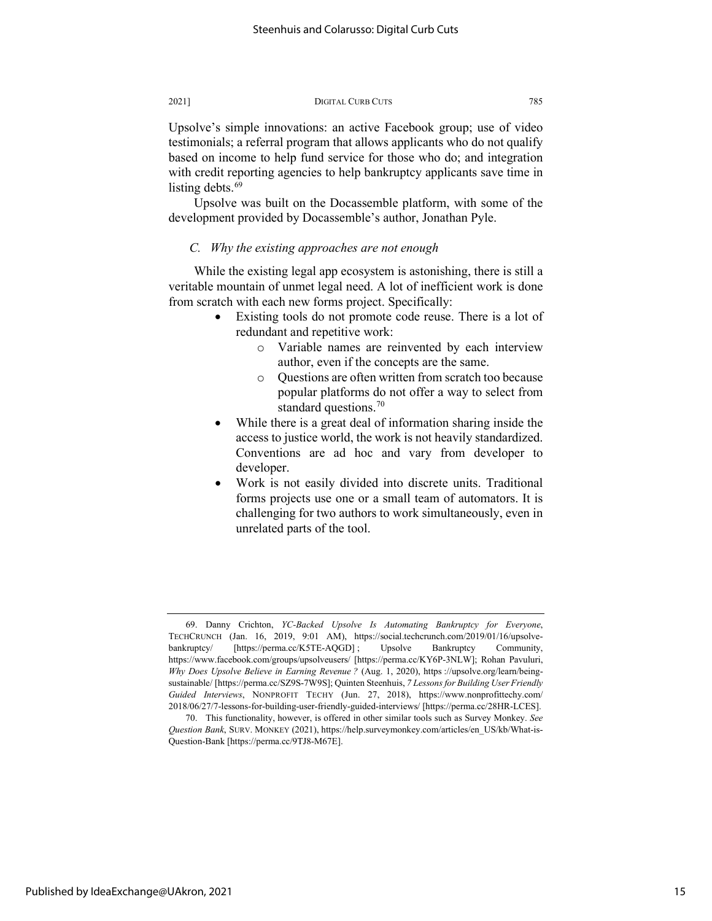Upsolve's simple innovations: an active Facebook group; use of video testimonials; a referral program that allows applicants who do not qualify based on income to help fund service for those who do; and integration with credit reporting agencies to help bankruptcy applicants save time in listing debts. $69$ 

Upsolve was built on the Docassemble platform, with some of the development provided by Docassemble's author, Jonathan Pyle.

### *C. Why the existing approaches are not enough*

While the existing legal app ecosystem is astonishing, there is still a veritable mountain of unmet legal need. A lot of inefficient work is done from scratch with each new forms project. Specifically:

- Existing tools do not promote code reuse. There is a lot of redundant and repetitive work:
	- o Variable names are reinvented by each interview author, even if the concepts are the same.
	- o Questions are often written from scratch too because popular platforms do not offer a way to select from standard questions.<sup>[70](#page-15-1)</sup>
- While there is a great deal of information sharing inside the access to justice world, the work is not heavily standardized. Conventions are ad hoc and vary from developer to developer.
- Work is not easily divided into discrete units. Traditional forms projects use one or a small team of automators. It is challenging for two authors to work simultaneously, even in unrelated parts of the tool.

<span id="page-15-0"></span><sup>69.</sup> Danny Crichton, *YC-Backed Upsolve Is Automating Bankruptcy for Everyone*, TECHCRUNCH (Jan. 16, 2019, 9:01 AM), https://social.techcrunch.com/2019/01/16/upsolvebankruptcy/ [https://perma.cc/K5TE-AQGD] ; Upsolve Bankruptcy Community, https://www.facebook.com/groups/upsolveusers/ [https://perma.cc/KY6P-3NLW]; Rohan Pavuluri, *Why Does Upsolve Believe in Earning Revenue ?* (Aug. 1, 2020), https ://upsolve.org/learn/beingsustainable/ [https://perma.cc/SZ9S-7W9S]; Quinten Steenhuis, *7 Lessons for Building User Friendly Guided Interviews*, NONPROFIT TECHY (Jun. 27, 2018), https://www.nonprofittechy.com/ 2018/06/27/7-lessons-for-building-user-friendly-guided-interviews/ [https://perma.cc/28HR-LCES].

<span id="page-15-1"></span><sup>70.</sup> This functionality, however, is offered in other similar tools such as Survey Monkey. *See Question Bank*, SURV. MONKEY (2021), https://help.surveymonkey.com/articles/en\_US/kb/What-is-Question-Bank [https://perma.cc/9TJ8-M67E].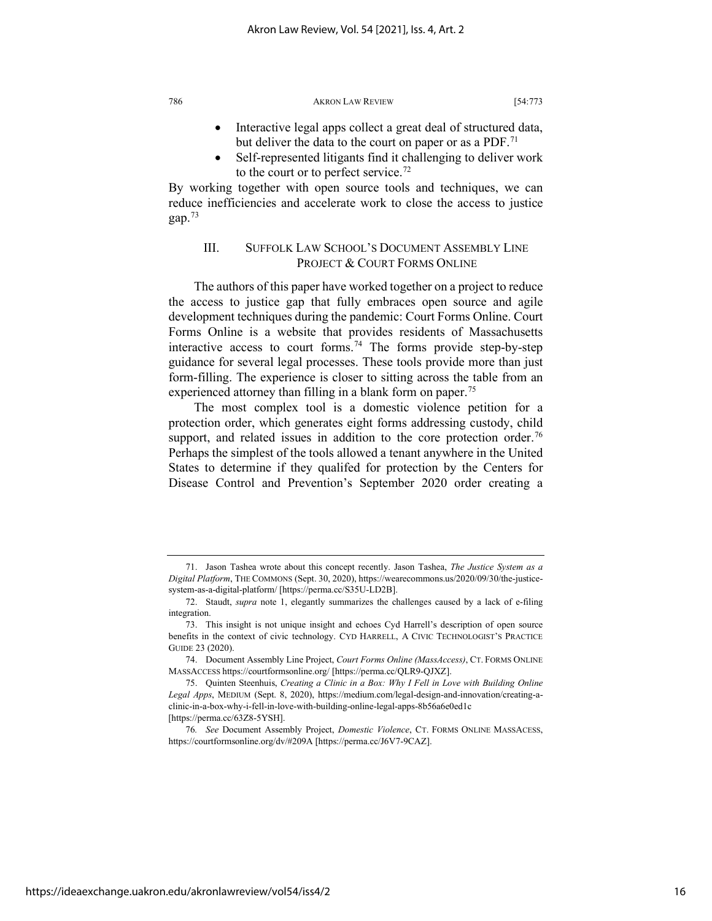- Interactive legal apps collect a great deal of structured data, but deliver the data to the court on paper or as a PDF.<sup>[71](#page-16-0)</sup>
- Self-represented litigants find it challenging to deliver work to the court or to perfect service.<sup>[72](#page-16-1)</sup>

By working together with open source tools and techniques, we can reduce inefficiencies and accelerate work to close the access to justice gap.[73](#page-16-2)

## III. SUFFOLK LAW SCHOOL'S DOCUMENT ASSEMBLY LINE PROJECT & COURT FORMS ONLINE

The authors of this paper have worked together on a project to reduce the access to justice gap that fully embraces open source and agile development techniques during the pandemic: Court Forms Online. Court Forms Online is a website that provides residents of Massachusetts interactive access to court forms.<sup>[74](#page-16-3)</sup> The forms provide step-by-step guidance for several legal processes. These tools provide more than just form-filling. The experience is closer to sitting across the table from an experienced attorney than filling in a blank form on paper.<sup>[75](#page-16-4)</sup>

The most complex tool is a domestic violence petition for a protection order, which generates eight forms addressing custody, child support, and related issues in addition to the core protection order.<sup>[76](#page-16-5)</sup> Perhaps the simplest of the tools allowed a tenant anywhere in the United States to determine if they qualifed for protection by the Centers for Disease Control and Prevention's September 2020 order creating a

<span id="page-16-0"></span><sup>71.</sup> Jason Tashea wrote about this concept recently. Jason Tashea, *The Justice System as a Digital Platform*, THE COMMONS (Sept. 30, 2020), https://wearecommons.us/2020/09/30/the-justicesystem-as-a-digital-platform/ [https://perma.cc/S35U-LD2B].

<span id="page-16-1"></span><sup>72.</sup> Staudt, *supra* note 1, elegantly summarizes the challenges caused by a lack of e-filing integration.

<span id="page-16-2"></span><sup>73.</sup> This insight is not unique insight and echoes Cyd Harrell's description of open source benefits in the context of civic technology. CYD HARRELL, A CIVIC TECHNOLOGIST'S PRACTICE GUIDE 23 (2020).

<span id="page-16-3"></span><sup>74.</sup> Document Assembly Line Project, *Court Forms Online (MassAccess)*, CT. FORMS ONLINE MASSACCESS https://courtformsonline.org/ [https://perma.cc/QLR9-QJXZ].

<span id="page-16-4"></span><sup>75.</sup> Quinten Steenhuis, *Creating a Clinic in a Box: Why I Fell in Love with Building Online Legal Apps*, MEDIUM (Sept. 8, 2020), https://medium.com/legal-design-and-innovation/creating-aclinic-in-a-box-why-i-fell-in-love-with-building-online-legal-apps-8b56a6e0ed1c [https://perma.cc/63Z8-5YSH].

<span id="page-16-5"></span><sup>76</sup>*. See* Document Assembly Project, *Domestic Violence*, CT. FORMS ONLINE MASSACESS, https://courtformsonline.org/dv/#209A [https://perma.cc/J6V7-9CAZ].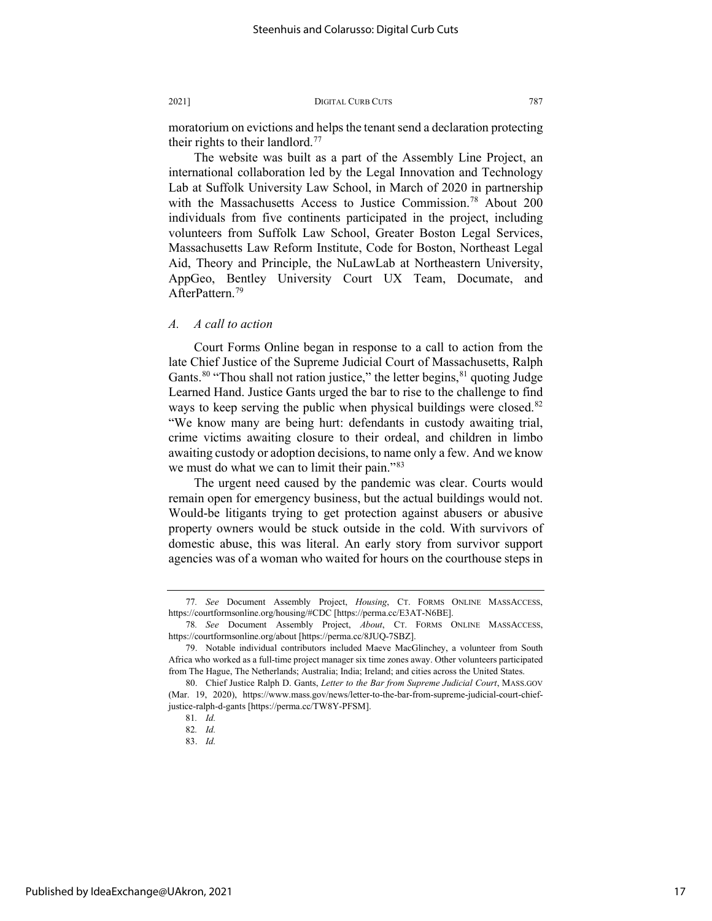moratorium on evictions and helps the tenant send a declaration protecting their rights to their landlord.<sup>[77](#page-17-0)</sup>

The website was built as a part of the Assembly Line Project, an international collaboration led by the Legal Innovation and Technology Lab at Suffolk University Law School, in March of 2020 in partnership with the Massachusetts Access to Justice Commission.<sup>78</sup> About 200 individuals from five continents participated in the project, including volunteers from Suffolk Law School, Greater Boston Legal Services, Massachusetts Law Reform Institute, Code for Boston, Northeast Legal Aid, Theory and Principle, the NuLawLab at Northeastern University, AppGeo, Bentley University Court UX Team, Documate, and AfterPattern.<sup>[79](#page-17-2)</sup>

## *A. A call to action*

Court Forms Online began in response to a call to action from the late Chief Justice of the Supreme Judicial Court of Massachusetts, Ralph Gants.<sup>[80](#page-17-3)</sup> "Thou shall not ration justice," the letter begins,  $81$  quoting Judge Learned Hand. Justice Gants urged the bar to rise to the challenge to find ways to keep serving the public when physical buildings were closed.<sup>[82](#page-17-5)</sup> "We know many are being hurt: defendants in custody awaiting trial, crime victims awaiting closure to their ordeal, and children in limbo awaiting custody or adoption decisions, to name only a few. And we know we must do what we can to limit their pain."<sup>[83](#page-17-6)</sup>

The urgent need caused by the pandemic was clear. Courts would remain open for emergency business, but the actual buildings would not. Would-be litigants trying to get protection against abusers or abusive property owners would be stuck outside in the cold. With survivors of domestic abuse, this was literal. An early story from survivor support agencies was of a woman who waited for hours on the courthouse steps in

<span id="page-17-0"></span><sup>77</sup>*. See* Document Assembly Project, *Housing*, CT. FORMS ONLINE MASSACCESS, https://courtformsonline.org/housing/#CDC [https://perma.cc/E3AT-N6BE].

<span id="page-17-1"></span><sup>78</sup>*. See* Document Assembly Project, *About*, CT. FORMS ONLINE MASSACCESS, https://courtformsonline.org/about [https://perma.cc/8JUQ-7SBZ].

<span id="page-17-2"></span><sup>79.</sup> Notable individual contributors included Maeve MacGlinchey, a volunteer from South Africa who worked as a full-time project manager six time zones away. Other volunteers participated from The Hague, The Netherlands; Australia; India; Ireland; and cities across the United States.

<span id="page-17-6"></span><span id="page-17-5"></span><span id="page-17-4"></span><span id="page-17-3"></span><sup>80.</sup> Chief Justice Ralph D. Gants, *Letter to the Bar from Supreme Judicial Court*, MASS.GOV (Mar. 19, 2020), https://www.mass.gov/news/letter-to-the-bar-from-supreme-judicial-court-chiefjustice-ralph-d-gants [https://perma.cc/TW8Y-PFSM].

<sup>81</sup>*. Id.*

<sup>82</sup>*. Id.* 83. *Id.*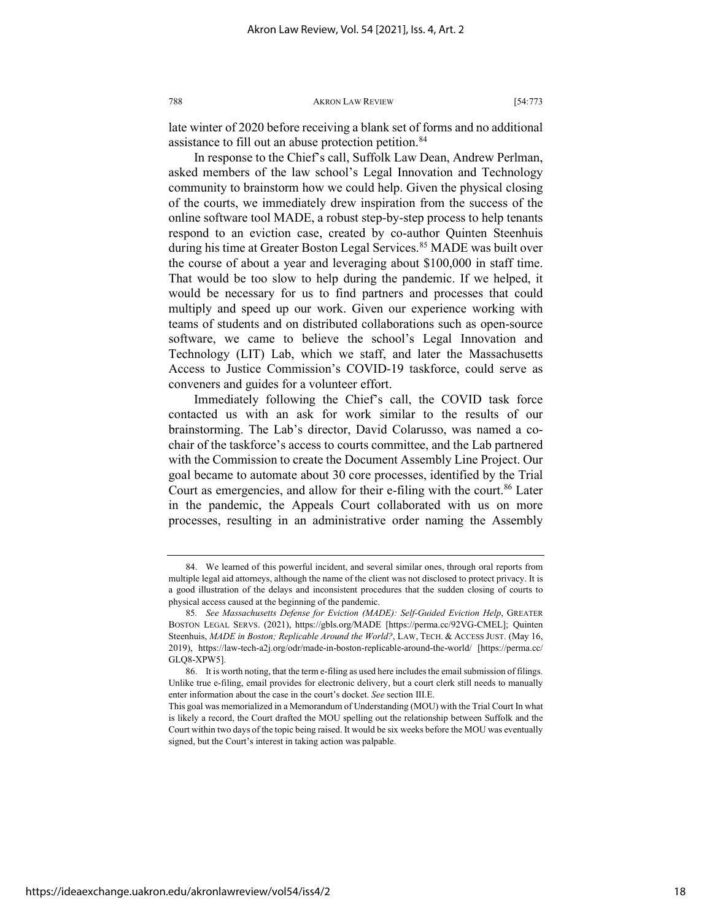late winter of 2020 before receiving a blank set of forms and no additional assistance to fill out an abuse protection petition.<sup>84</sup>

In response to the Chief's call, Suffolk Law Dean, Andrew Perlman, asked members of the law school's Legal Innovation and Technology community to brainstorm how we could help. Given the physical closing of the courts, we immediately drew inspiration from the success of the online software tool MADE, a robust step-by-step process to help tenants respond to an eviction case, created by co-author Quinten Steenhuis during his time at Greater Boston Legal Services.<sup>[85](#page-18-1)</sup> MADE was built over the course of about a year and leveraging about \$100,000 in staff time. That would be too slow to help during the pandemic. If we helped, it would be necessary for us to find partners and processes that could multiply and speed up our work. Given our experience working with teams of students and on distributed collaborations such as open-source software, we came to believe the school's Legal Innovation and Technology (LIT) Lab, which we staff, and later the Massachusetts Access to Justice Commission's COVID-19 taskforce, could serve as conveners and guides for a volunteer effort.

Immediately following the Chief's call, the COVID task force contacted us with an ask for work similar to the results of our brainstorming. The Lab's director, David Colarusso, was named a cochair of the taskforce's access to courts committee, and the Lab partnered with the Commission to create the Document Assembly Line Project. Our goal became to automate about 30 core processes, identified by the Trial Court as emergencies, and allow for their e-filing with the court.<sup>[86](#page-18-2)</sup> Later in the pandemic, the Appeals Court collaborated with us on more processes, resulting in an administrative order naming the Assembly

<span id="page-18-0"></span><sup>84.</sup> We learned of this powerful incident, and several similar ones, through oral reports from multiple legal aid attorneys, although the name of the client was not disclosed to protect privacy. It is a good illustration of the delays and inconsistent procedures that the sudden closing of courts to physical access caused at the beginning of the pandemic.

<span id="page-18-1"></span><sup>85</sup>*. See Massachusetts Defense for Eviction (MADE): Self-Guided Eviction Help*, GREATER BOSTON LEGAL SERVS. (2021), https://gbls.org/MADE [https://perma.cc/92VG-CMEL]; Quinten Steenhuis, *MADE in Boston; Replicable Around the World?*, LAW, TECH. & ACCESS JUST. (May 16, 2019), https://law-tech-a2j.org/odr/made-in-boston-replicable-around-the-world/ [https://perma.cc/ GLQ8-XPW5].

<span id="page-18-2"></span><sup>86.</sup> It is worth noting, that the term e-filing as used here includes the email submission of filings. Unlike true e-filing, email provides for electronic delivery, but a court clerk still needs to manually enter information about the case in the court's docket. *See* section III.E.

This goal was memorialized in a Memorandum of Understanding (MOU) with the Trial Court In what is likely a record, the Court drafted the MOU spelling out the relationship between Suffolk and the Court within two days of the topic being raised. It would be six weeks before the MOU was eventually signed, but the Court's interest in taking action was palpable.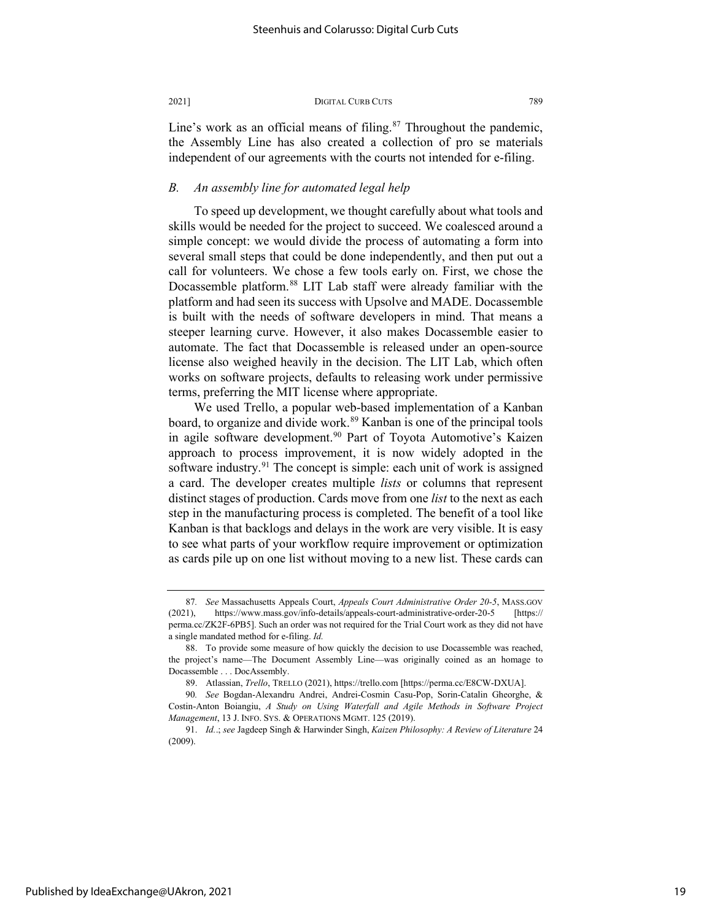Line's work as an official means of filing.<sup>87</sup> Throughout the pandemic, the Assembly Line has also created a collection of pro se materials independent of our agreements with the courts not intended for e-filing.

## *B. An assembly line for automated legal help*

To speed up development, we thought carefully about what tools and skills would be needed for the project to succeed. We coalesced around a simple concept: we would divide the process of automating a form into several small steps that could be done independently, and then put out a call for volunteers. We chose a few tools early on. First, we chose the Docassemble platform.<sup>[88](#page-19-1)</sup> LIT Lab staff were already familiar with the platform and had seen its success with Upsolve and MADE. Docassemble is built with the needs of software developers in mind. That means a steeper learning curve. However, it also makes Docassemble easier to automate. The fact that Docassemble is released under an open-source license also weighed heavily in the decision. The LIT Lab, which often works on software projects, defaults to releasing work under permissive terms, preferring the MIT license where appropriate.

We used Trello, a popular web-based implementation of a Kanban board, to organize and divide work.<sup>[89](#page-19-2)</sup> Kanban is one of the principal tools in agile software development.<sup>[90](#page-19-3)</sup> Part of Toyota Automotive's Kaizen approach to process improvement, it is now widely adopted in the software industry.<sup>[91](#page-19-4)</sup> The concept is simple: each unit of work is assigned a card. The developer creates multiple *lists* or columns that represent distinct stages of production. Cards move from one *list* to the next as each step in the manufacturing process is completed. The benefit of a tool like Kanban is that backlogs and delays in the work are very visible. It is easy to see what parts of your workflow require improvement or optimization as cards pile up on one list without moving to a new list. These cards can

<span id="page-19-0"></span><sup>87</sup>*. See* Massachusetts Appeals Court, *Appeals Court Administrative Order 20-5*, MASS.GOV (2021), https://www.mass.gov/info-details/appeals-court-administrative-order-20-5 [https:// perma.cc/ZK2F-6PB5]. Such an order was not required for the Trial Court work as they did not have a single mandated method for e-filing. *Id.*

<span id="page-19-1"></span><sup>88.</sup> To provide some measure of how quickly the decision to use Docassemble was reached, the project's name—The Document Assembly Line—was originally coined as an homage to Docassemble . . . DocAssembly.

<sup>89.</sup> Atlassian, *Trello*, TRELLO (2021), https://trello.com [https://perma.cc/E8CW-DXUA].

<span id="page-19-3"></span><span id="page-19-2"></span><sup>90</sup>*. See* Bogdan-Alexandru Andrei, Andrei-Cosmin Casu-Pop, Sorin-Catalin Gheorghe, & Costin-Anton Boiangiu, *A Study on Using Waterfall and Agile Methods in Software Project Management*, 13 J. INFO. SYS. & OPERATIONS MGMT. 125 (2019).

<span id="page-19-4"></span><sup>91.</sup> *Id.*.; *see* Jagdeep Singh & Harwinder Singh, *Kaizen Philosophy: A Review of Literature* 24 (2009).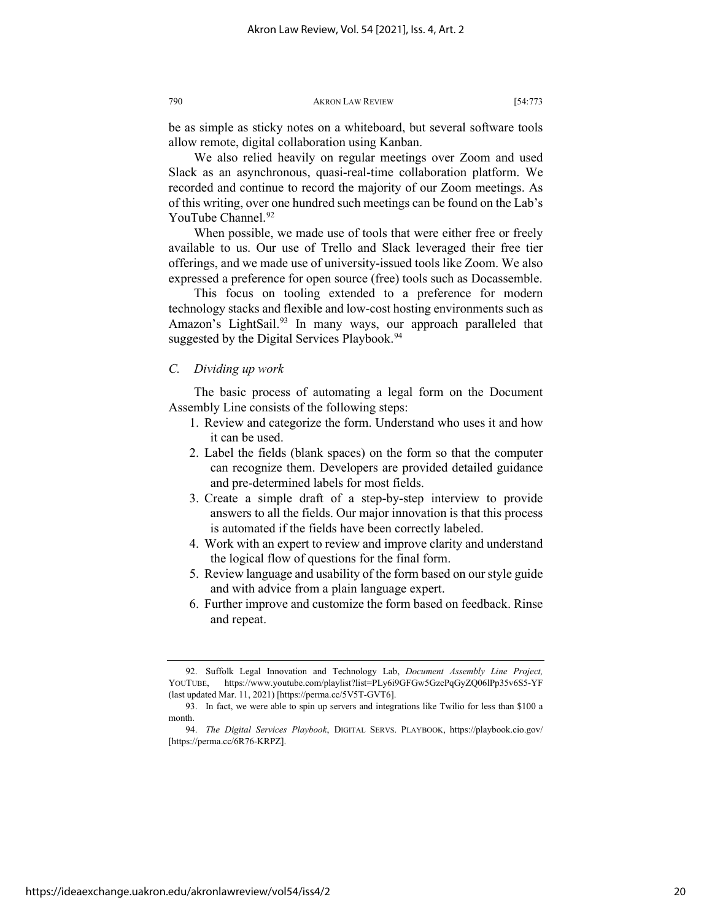be as simple as sticky notes on a whiteboard, but several software tools allow remote, digital collaboration using Kanban.

We also relied heavily on regular meetings over Zoom and used Slack as an asynchronous, quasi-real-time collaboration platform. We recorded and continue to record the majority of our Zoom meetings. As of this writing, over one hundred such meetings can be found on the Lab's YouTube Channel.<sup>[92](#page-20-0)</sup>

When possible, we made use of tools that were either free or freely available to us. Our use of Trello and Slack leveraged their free tier offerings, and we made use of university-issued tools like Zoom. We also expressed a preference for open source (free) tools such as Docassemble.

This focus on tooling extended to a preference for modern technology stacks and flexible and low-cost hosting environments such as Amazon's LightSail.<sup>[93](#page-20-1)</sup> In many ways, our approach paralleled that suggested by the Digital Services Playbook.<sup>[94](#page-20-2)</sup>

#### *C. Dividing up work*

The basic process of automating a legal form on the Document Assembly Line consists of the following steps:

- 1. Review and categorize the form. Understand who uses it and how it can be used.
- 2. Label the fields (blank spaces) on the form so that the computer can recognize them. Developers are provided detailed guidance and pre-determined labels for most fields.
- 3. Create a simple draft of a step-by-step interview to provide answers to all the fields. Our major innovation is that this process is automated if the fields have been correctly labeled.
- 4. Work with an expert to review and improve clarity and understand the logical flow of questions for the final form.
- 5. Review language and usability of the form based on our style guide and with advice from a plain language expert.
- 6. Further improve and customize the form based on feedback. Rinse and repeat.

<span id="page-20-0"></span><sup>92.</sup> Suffolk Legal Innovation and Technology Lab, *Document Assembly Line Project,*  YOUTUBE, https://www.youtube.com/playlist?list=PLy6i9GFGw5GzcPqGyZQ06lPp35v6S5-YF (last updated Mar. 11, 2021) [https://perma.cc/5V5T-GVT6].

<span id="page-20-1"></span><sup>93.</sup> In fact, we were able to spin up servers and integrations like Twilio for less than \$100 a month.

<span id="page-20-2"></span><sup>94.</sup> *The Digital Services Playbook*, DIGITAL SERVS. PLAYBOOK, https://playbook.cio.gov/ [https://perma.cc/6R76-KRPZ].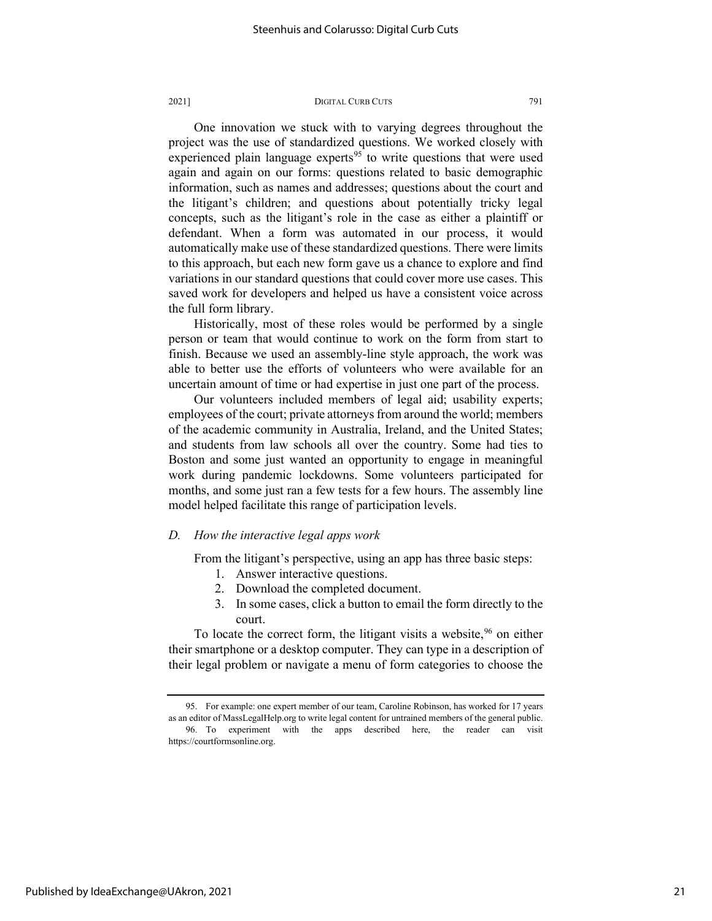One innovation we stuck with to varying degrees throughout the project was the use of standardized questions. We worked closely with experienced plain language experts $95$  to write questions that were used again and again on our forms: questions related to basic demographic information, such as names and addresses; questions about the court and the litigant's children; and questions about potentially tricky legal concepts, such as the litigant's role in the case as either a plaintiff or defendant. When a form was automated in our process, it would automatically make use of these standardized questions. There were limits to this approach, but each new form gave us a chance to explore and find variations in our standard questions that could cover more use cases. This saved work for developers and helped us have a consistent voice across the full form library.

Historically, most of these roles would be performed by a single person or team that would continue to work on the form from start to finish. Because we used an assembly-line style approach, the work was able to better use the efforts of volunteers who were available for an uncertain amount of time or had expertise in just one part of the process.

Our volunteers included members of legal aid; usability experts; employees of the court; private attorneys from around the world; members of the academic community in Australia, Ireland, and the United States; and students from law schools all over the country. Some had ties to Boston and some just wanted an opportunity to engage in meaningful work during pandemic lockdowns. Some volunteers participated for months, and some just ran a few tests for a few hours. The assembly line model helped facilitate this range of participation levels.

#### *D. How the interactive legal apps work*

From the litigant's perspective, using an app has three basic steps:

- 1. Answer interactive questions.
- 2. Download the completed document.
- 3. In some cases, click a button to email the form directly to the court.

To locate the correct form, the litigant visits a website,  $96$  on either their smartphone or a desktop computer. They can type in a description of their legal problem or navigate a menu of form categories to choose the

<span id="page-21-1"></span><span id="page-21-0"></span><sup>95.</sup> For example: one expert member of our team, Caroline Robinson, has worked for 17 years as an editor of MassLegalHelp.org to write legal content for untrained members of the general public. 96. To experiment with the apps described here, the reader can visit https://courtformsonline.org.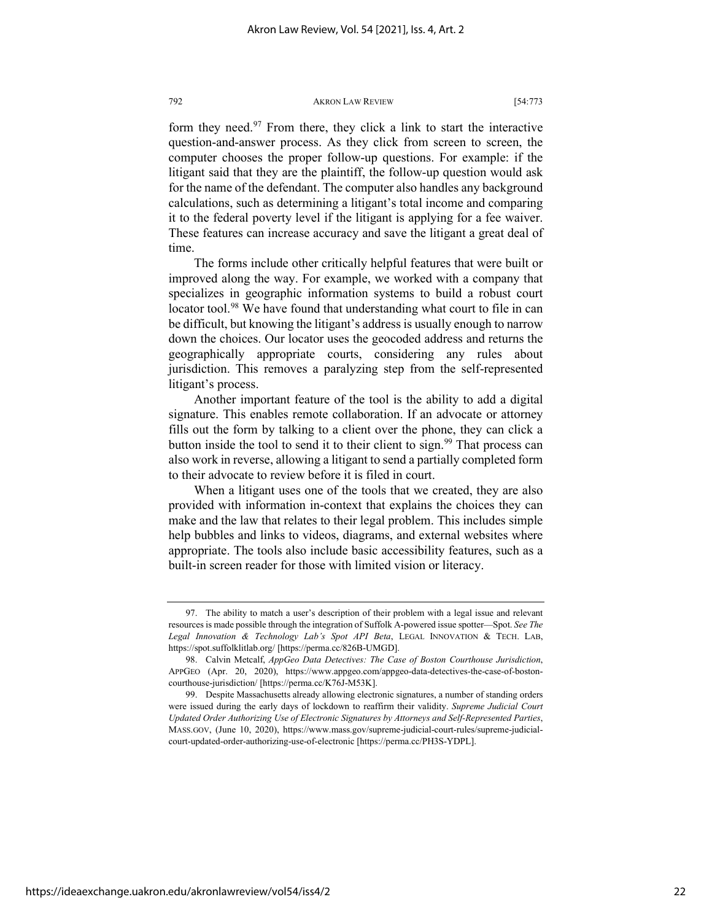form they need. $97$  From there, they click a link to start the interactive question-and-answer process. As they click from screen to screen, the computer chooses the proper follow-up questions. For example: if the litigant said that they are the plaintiff, the follow-up question would ask for the name of the defendant. The computer also handles any background calculations, such as determining a litigant's total income and comparing it to the federal poverty level if the litigant is applying for a fee waiver. These features can increase accuracy and save the litigant a great deal of time.

The forms include other critically helpful features that were built or improved along the way. For example, we worked with a company that specializes in geographic information systems to build a robust court locator tool.<sup>98</sup> We have found that understanding what court to file in can be difficult, but knowing the litigant's address is usually enough to narrow down the choices. Our locator uses the geocoded address and returns the geographically appropriate courts, considering any rules about jurisdiction. This removes a paralyzing step from the self-represented litigant's process.

Another important feature of the tool is the ability to add a digital signature. This enables remote collaboration. If an advocate or attorney fills out the form by talking to a client over the phone, they can click a button inside the tool to send it to their client to sign.<sup>[99](#page-22-2)</sup> That process can also work in reverse, allowing a litigant to send a partially completed form to their advocate to review before it is filed in court.

When a litigant uses one of the tools that we created, they are also provided with information in-context that explains the choices they can make and the law that relates to their legal problem. This includes simple help bubbles and links to videos, diagrams, and external websites where appropriate. The tools also include basic accessibility features, such as a built-in screen reader for those with limited vision or literacy.

<span id="page-22-0"></span><sup>97.</sup> The ability to match a user's description of their problem with a legal issue and relevant resources is made possible through the integration of Suffolk A-powered issue spotter—Spot. *See The Legal Innovation & Technology Lab's Spot API Beta*, LEGAL INNOVATION & TECH. LAB, https://spot.suffolklitlab.org/ [https://perma.cc/826B-UMGD].

<span id="page-22-1"></span><sup>98.</sup> Calvin Metcalf, *AppGeo Data Detectives: The Case of Boston Courthouse Jurisdiction*, APPGEO (Apr. 20, 2020), https://www.appgeo.com/appgeo-data-detectives-the-case-of-bostoncourthouse-jurisdiction/ [https://perma.cc/K76J-M53K].

<span id="page-22-2"></span><sup>99.</sup> Despite Massachusetts already allowing electronic signatures, a number of standing orders were issued during the early days of lockdown to reaffirm their validity. *Supreme Judicial Court Updated Order Authorizing Use of Electronic Signatures by Attorneys and Self-Represented Parties*, MASS.GOV, (June 10, 2020), https://www.mass.gov/supreme-judicial-court-rules/supreme-judicialcourt-updated-order-authorizing-use-of-electronic [https://perma.cc/PH3S-YDPL].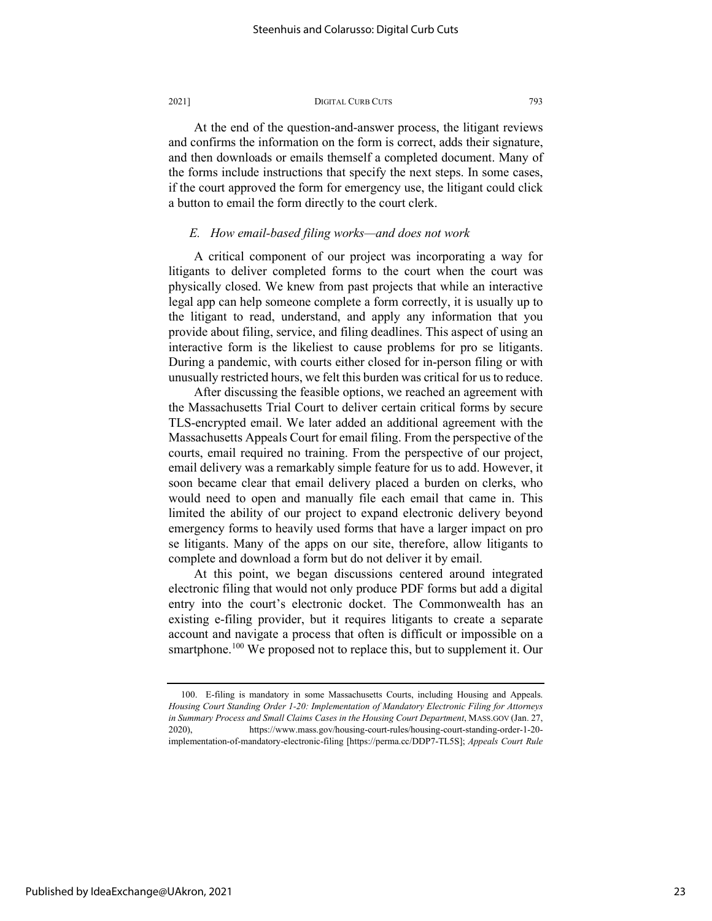At the end of the question-and-answer process, the litigant reviews and confirms the information on the form is correct, adds their signature, and then downloads or emails themself a completed document. Many of the forms include instructions that specify the next steps. In some cases, if the court approved the form for emergency use, the litigant could click a button to email the form directly to the court clerk.

#### *E. How email-based filing works—and does not work*

A critical component of our project was incorporating a way for litigants to deliver completed forms to the court when the court was physically closed. We knew from past projects that while an interactive legal app can help someone complete a form correctly, it is usually up to the litigant to read, understand, and apply any information that you provide about filing, service, and filing deadlines. This aspect of using an interactive form is the likeliest to cause problems for pro se litigants. During a pandemic, with courts either closed for in-person filing or with unusually restricted hours, we felt this burden was critical for us to reduce.

After discussing the feasible options, we reached an agreement with the Massachusetts Trial Court to deliver certain critical forms by secure TLS-encrypted email. We later added an additional agreement with the Massachusetts Appeals Court for email filing. From the perspective of the courts, email required no training. From the perspective of our project, email delivery was a remarkably simple feature for us to add. However, it soon became clear that email delivery placed a burden on clerks, who would need to open and manually file each email that came in. This limited the ability of our project to expand electronic delivery beyond emergency forms to heavily used forms that have a larger impact on pro se litigants. Many of the apps on our site, therefore, allow litigants to complete and download a form but do not deliver it by email.

At this point, we began discussions centered around integrated electronic filing that would not only produce PDF forms but add a digital entry into the court's electronic docket. The Commonwealth has an existing e-filing provider, but it requires litigants to create a separate account and navigate a process that often is difficult or impossible on a smartphone.<sup>[100](#page-23-0)</sup> We proposed not to replace this, but to supplement it. Our

<span id="page-23-0"></span><sup>100.</sup> E-filing is mandatory in some Massachusetts Courts, including Housing and Appeals. *Housing Court Standing Order 1-20: Implementation of Mandatory Electronic Filing for Attorneys in Summary Process and Small Claims Cases in the Housing Court Department*, MASS.GOV (Jan. 27, 2020), https://www.mass.gov/housing-court-rules/housing-court-standing-order-1-20 implementation-of-mandatory-electronic-filing [https://perma.cc/DDP7-TL5S]; *Appeals Court Rule*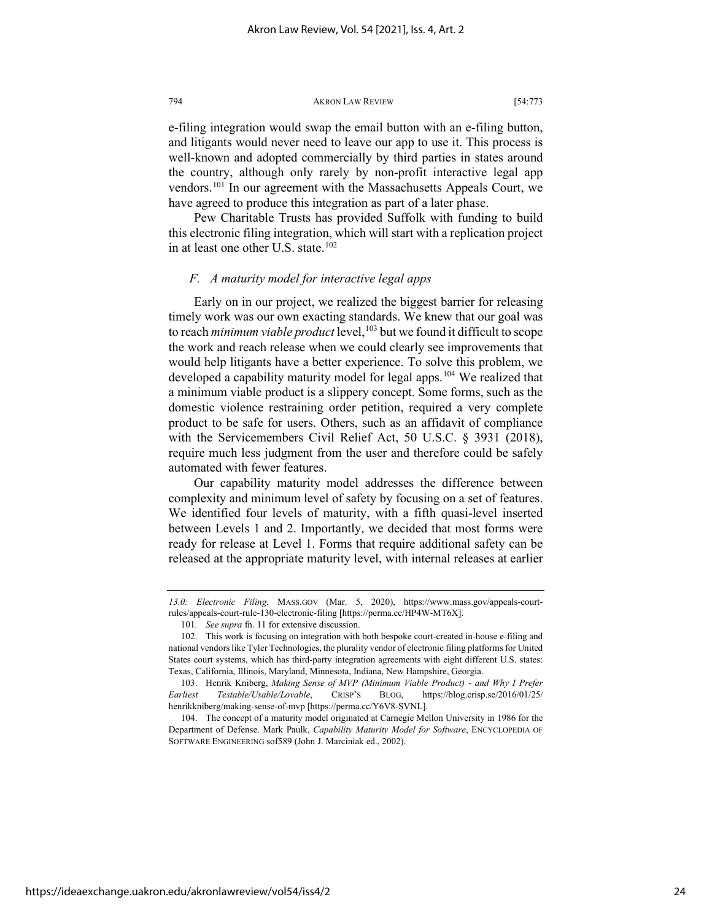e-filing integration would swap the email button with an e-filing button, and litigants would never need to leave our app to use it. This process is well-known and adopted commercially by third parties in states around the country, although only rarely by non-profit interactive legal app vendors.[101](#page-24-0) In our agreement with the Massachusetts Appeals Court, we have agreed to produce this integration as part of a later phase.

Pew Charitable Trusts has provided Suffolk with funding to build this electronic filing integration, which will start with a replication project in at least one other U.S. state.<sup>[102](#page-24-1)</sup>

#### *F. A maturity model for interactive legal apps*

Early on in our project, we realized the biggest barrier for releasing timely work was our own exacting standards. We knew that our goal was to reach *minimum viable product* level,<sup>[103](#page-24-2)</sup> but we found it difficult to scope the work and reach release when we could clearly see improvements that would help litigants have a better experience. To solve this problem, we developed a capability maturity model for legal apps.<sup>[104](#page-24-3)</sup> We realized that a minimum viable product is a slippery concept. Some forms, such as the domestic violence restraining order petition, required a very complete product to be safe for users. Others, such as an affidavit of compliance with the Servicemembers Civil Relief Act, 50 U.S.C. § 3931 (2018), require much less judgment from the user and therefore could be safely automated with fewer features.

Our capability maturity model addresses the difference between complexity and minimum level of safety by focusing on a set of features. We identified four levels of maturity, with a fifth quasi-level inserted between Levels 1 and 2. Importantly, we decided that most forms were ready for release at Level 1. Forms that require additional safety can be released at the appropriate maturity level, with internal releases at earlier

*<sup>13.0:</sup> Electronic Filing*, MASS.GOV (Mar. 5, 2020), https://www.mass.gov/appeals-courtrules/appeals-court-rule-130-electronic-filing [https://perma.cc/HP4W-MT6X].

<sup>101</sup>*. See supra* fn. 11 for extensive discussion.

<span id="page-24-1"></span><span id="page-24-0"></span><sup>102.</sup> This work is focusing on integration with both bespoke court-created in-house e-filing and national vendors like Tyler Technologies, the plurality vendor of electronic filing platforms for United States court systems, which has third-party integration agreements with eight different U.S. states: Texas, California, Illinois, Maryland, Minnesota, Indiana, New Hampshire, Georgia.

<span id="page-24-2"></span><sup>103.</sup> Henrik Kniberg, *Making Sense of MVP (Minimum Viable Product) - and Why I Prefer Earliest Testable/Usable/Lovable*, CRISP'S BLOG, https://blog.crisp.se/2016/01/25/ henrikkniberg/making-sense-of-mvp [https://perma.cc/Y6V8-SVNL].

<span id="page-24-3"></span><sup>104.</sup> The concept of a maturity model originated at Carnegie Mellon University in 1986 for the Department of Defense. Mark Paulk, *Capability Maturity Model for Software*, ENCYCLOPEDIA OF SOFTWARE ENGINEERING sof589 (John J. Marciniak ed., 2002).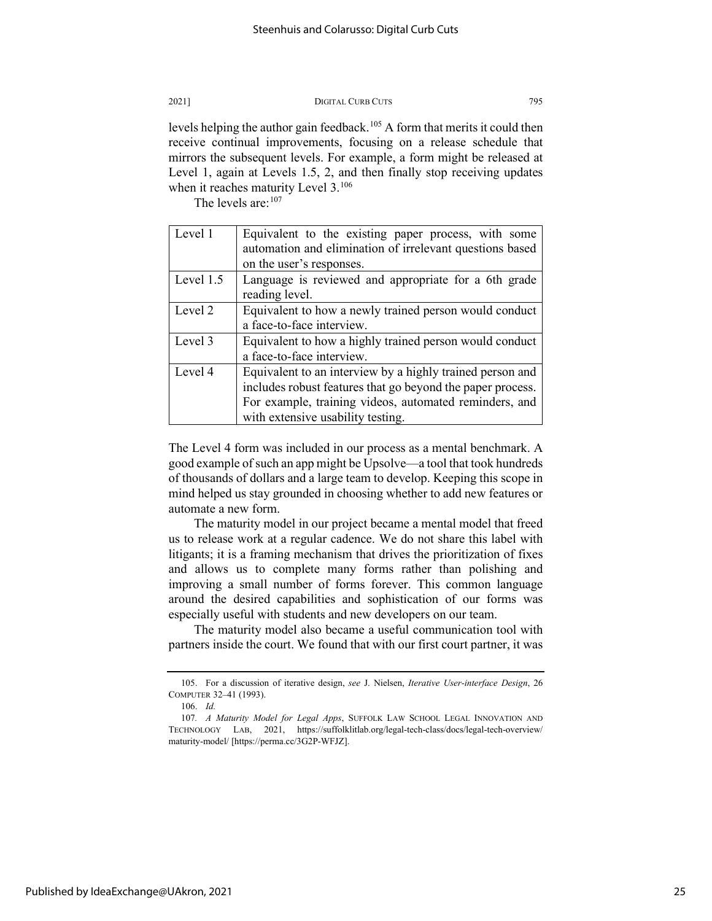levels helping the author gain feedback.<sup>[105](#page-25-0)</sup> A form that merits it could then receive continual improvements, focusing on a release schedule that mirrors the subsequent levels. For example, a form might be released at Level 1, again at Levels 1.5, 2, and then finally stop receiving updates when it reaches maturity Level 3.<sup>[106](#page-25-1)</sup>

The levels are: [107](#page-25-2)

| Level 1   | Equivalent to the existing paper process, with some        |
|-----------|------------------------------------------------------------|
|           | automation and elimination of irrelevant questions based   |
|           | on the user's responses.                                   |
| Level 1.5 | Language is reviewed and appropriate for a 6th grade       |
|           | reading level.                                             |
| Level 2   | Equivalent to how a newly trained person would conduct     |
|           | a face-to-face interview.                                  |
| Level 3   | Equivalent to how a highly trained person would conduct    |
|           | a face-to-face interview.                                  |
| Level 4   | Equivalent to an interview by a highly trained person and  |
|           | includes robust features that go beyond the paper process. |
|           | For example, training videos, automated reminders, and     |
|           | with extensive usability testing.                          |

The Level 4 form was included in our process as a mental benchmark. A good example of such an app might be Upsolve—a tool that took hundreds of thousands of dollars and a large team to develop. Keeping this scope in mind helped us stay grounded in choosing whether to add new features or automate a new form.

The maturity model in our project became a mental model that freed us to release work at a regular cadence. We do not share this label with litigants; it is a framing mechanism that drives the prioritization of fixes and allows us to complete many forms rather than polishing and improving a small number of forms forever. This common language around the desired capabilities and sophistication of our forms was especially useful with students and new developers on our team.

The maturity model also became a useful communication tool with partners inside the court. We found that with our first court partner, it was

<span id="page-25-0"></span><sup>105.</sup> For a discussion of iterative design, *see* J. Nielsen, *Iterative User-interface Design*, 26 COMPUTER 32–41 (1993).

<sup>106.</sup> *Id.*

<span id="page-25-2"></span><span id="page-25-1"></span><sup>107</sup>*. A Maturity Model for Legal Apps*, SUFFOLK LAW SCHOOL LEGAL INNOVATION AND TECHNOLOGY LAB, 2021, https://suffolklitlab.org/legal-tech-class/docs/legal-tech-overview/ maturity-model/ [https://perma.cc/3G2P-WFJZ].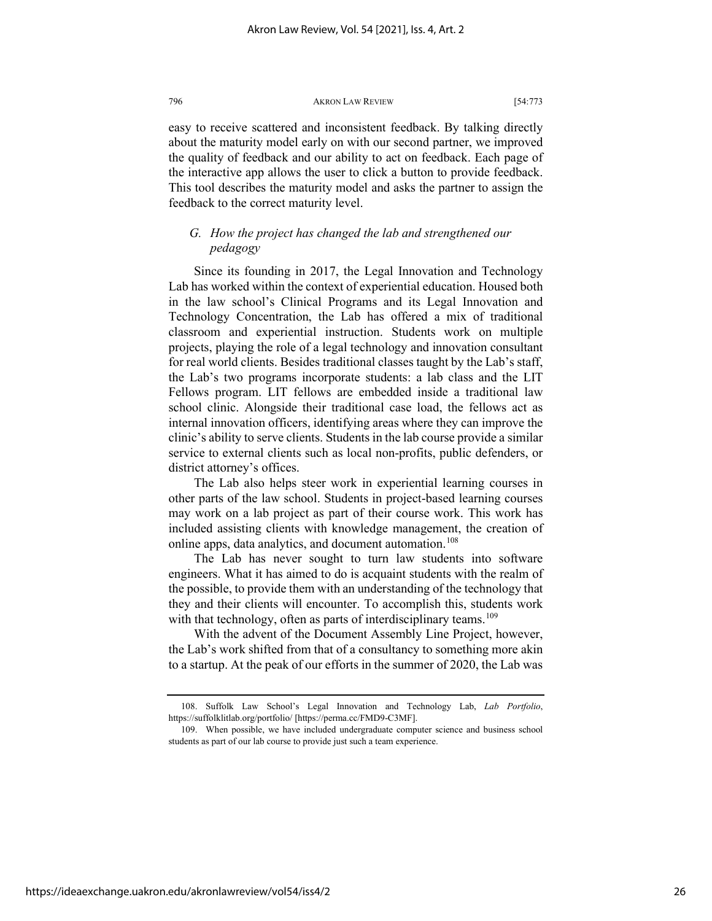easy to receive scattered and inconsistent feedback. By talking directly about the maturity model early on with our second partner, we improved the quality of feedback and our ability to act on feedback. Each page of the interactive app allows the user to click a button to provide feedback. This tool describes the maturity model and asks the partner to assign the feedback to the correct maturity level.

## *G. How the project has changed the lab and strengthened our pedagogy*

Since its founding in 2017, the Legal Innovation and Technology Lab has worked within the context of experiential education. Housed both in the law school's Clinical Programs and its Legal Innovation and Technology Concentration, the Lab has offered a mix of traditional classroom and experiential instruction. Students work on multiple projects, playing the role of a legal technology and innovation consultant for real world clients. Besides traditional classes taught by the Lab's staff, the Lab's two programs incorporate students: a lab class and the LIT Fellows program. LIT fellows are embedded inside a traditional law school clinic. Alongside their traditional case load, the fellows act as internal innovation officers, identifying areas where they can improve the clinic's ability to serve clients. Students in the lab course provide a similar service to external clients such as local non-profits, public defenders, or district attorney's offices.

The Lab also helps steer work in experiential learning courses in other parts of the law school. Students in project-based learning courses may work on a lab project as part of their course work. This work has included assisting clients with knowledge management, the creation of online apps, data analytics, and document automation.<sup>[108](#page-26-0)</sup>

The Lab has never sought to turn law students into software engineers. What it has aimed to do is acquaint students with the realm of the possible, to provide them with an understanding of the technology that they and their clients will encounter. To accomplish this, students work with that technology, often as parts of interdisciplinary teams.<sup>[109](#page-26-1)</sup>

With the advent of the Document Assembly Line Project, however, the Lab's work shifted from that of a consultancy to something more akin to a startup. At the peak of our efforts in the summer of 2020, the Lab was

<span id="page-26-0"></span><sup>108.</sup> Suffolk Law School's Legal Innovation and Technology Lab, *Lab Portfolio*, https://suffolklitlab.org/portfolio/ [https://perma.cc/FMD9-C3MF].

<span id="page-26-1"></span><sup>109.</sup> When possible, we have included undergraduate computer science and business school students as part of our lab course to provide just such a team experience.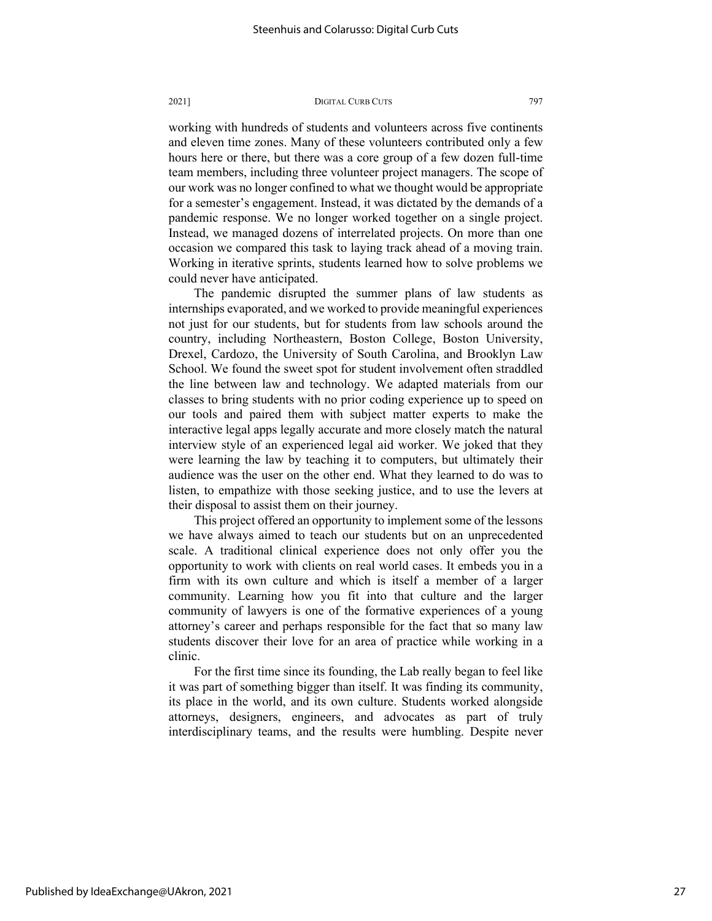working with hundreds of students and volunteers across five continents and eleven time zones. Many of these volunteers contributed only a few hours here or there, but there was a core group of a few dozen full-time team members, including three volunteer project managers. The scope of our work was no longer confined to what we thought would be appropriate for a semester's engagement. Instead, it was dictated by the demands of a pandemic response. We no longer worked together on a single project. Instead, we managed dozens of interrelated projects. On more than one occasion we compared this task to laying track ahead of a moving train. Working in iterative sprints, students learned how to solve problems we could never have anticipated.

The pandemic disrupted the summer plans of law students as internships evaporated, and we worked to provide meaningful experiences not just for our students, but for students from law schools around the country, including Northeastern, Boston College, Boston University, Drexel, Cardozo, the University of South Carolina, and Brooklyn Law School. We found the sweet spot for student involvement often straddled the line between law and technology. We adapted materials from our classes to bring students with no prior coding experience up to speed on our tools and paired them with subject matter experts to make the interactive legal apps legally accurate and more closely match the natural interview style of an experienced legal aid worker. We joked that they were learning the law by teaching it to computers, but ultimately their audience was the user on the other end. What they learned to do was to listen, to empathize with those seeking justice, and to use the levers at their disposal to assist them on their journey.

This project offered an opportunity to implement some of the lessons we have always aimed to teach our students but on an unprecedented scale. A traditional clinical experience does not only offer you the opportunity to work with clients on real world cases. It embeds you in a firm with its own culture and which is itself a member of a larger community. Learning how you fit into that culture and the larger community of lawyers is one of the formative experiences of a young attorney's career and perhaps responsible for the fact that so many law students discover their love for an area of practice while working in a clinic.

For the first time since its founding, the Lab really began to feel like it was part of something bigger than itself. It was finding its community, its place in the world, and its own culture. Students worked alongside attorneys, designers, engineers, and advocates as part of truly interdisciplinary teams, and the results were humbling. Despite never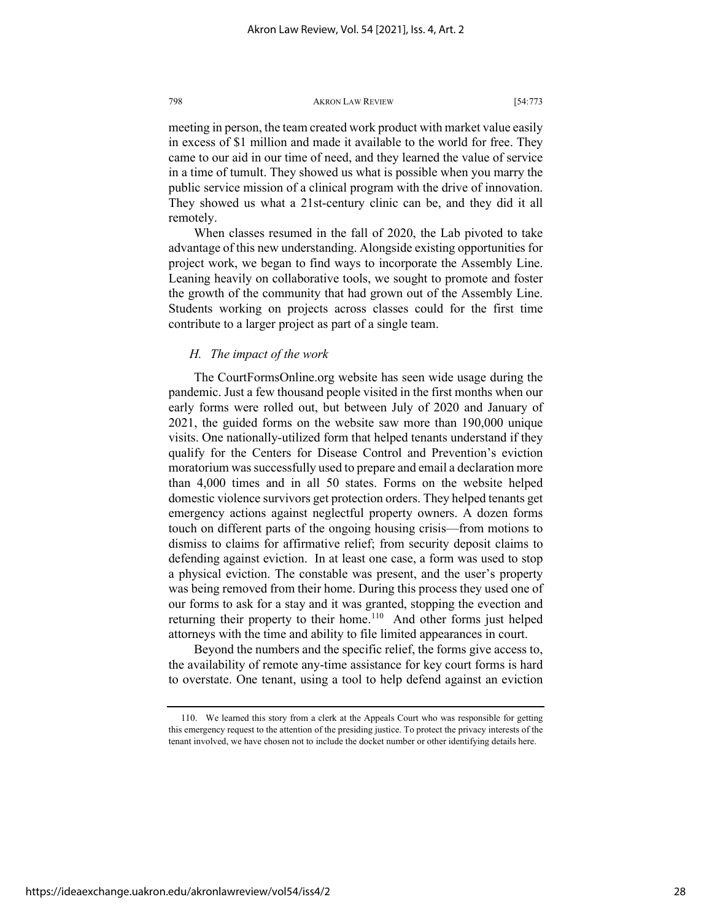meeting in person, the team created work product with market value easily in excess of \$1 million and made it available to the world for free. They came to our aid in our time of need, and they learned the value of service in a time of tumult. They showed us what is possible when you marry the public service mission of a clinical program with the drive of innovation. They showed us what a 21st-century clinic can be, and they did it all remotely.

When classes resumed in the fall of 2020, the Lab pivoted to take advantage of this new understanding. Alongside existing opportunities for project work, we began to find ways to incorporate the Assembly Line. Leaning heavily on collaborative tools, we sought to promote and foster the growth of the community that had grown out of the Assembly Line. Students working on projects across classes could for the first time contribute to a larger project as part of a single team.

## *H. The impact of the work*

The CourtFormsOnline.org website has seen wide usage during the pandemic. Just a few thousand people visited in the first months when our early forms were rolled out, but between July of 2020 and January of 2021, the guided forms on the website saw more than 190,000 unique visits. One nationally-utilized form that helped tenants understand if they qualify for the Centers for Disease Control and Prevention's eviction moratorium was successfully used to prepare and email a declaration more than 4,000 times and in all 50 states. Forms on the website helped domestic violence survivors get protection orders. They helped tenants get emergency actions against neglectful property owners. A dozen forms touch on different parts of the ongoing housing crisis—from motions to dismiss to claims for affirmative relief; from security deposit claims to defending against eviction. In at least one case, a form was used to stop a physical eviction. The constable was present, and the user's property was being removed from their home. During this process they used one of our forms to ask for a stay and it was granted, stopping the evection and returning their property to their home.<sup>[110](#page-28-0)</sup> And other forms just helped attorneys with the time and ability to file limited appearances in court.

Beyond the numbers and the specific relief, the forms give access to, the availability of remote any-time assistance for key court forms is hard to overstate. One tenant, using a tool to help defend against an eviction

<span id="page-28-0"></span><sup>110.</sup> We learned this story from a clerk at the Appeals Court who was responsible for getting this emergency request to the attention of the presiding justice. To protect the privacy interests of the tenant involved, we have chosen not to include the docket number or other identifying details here.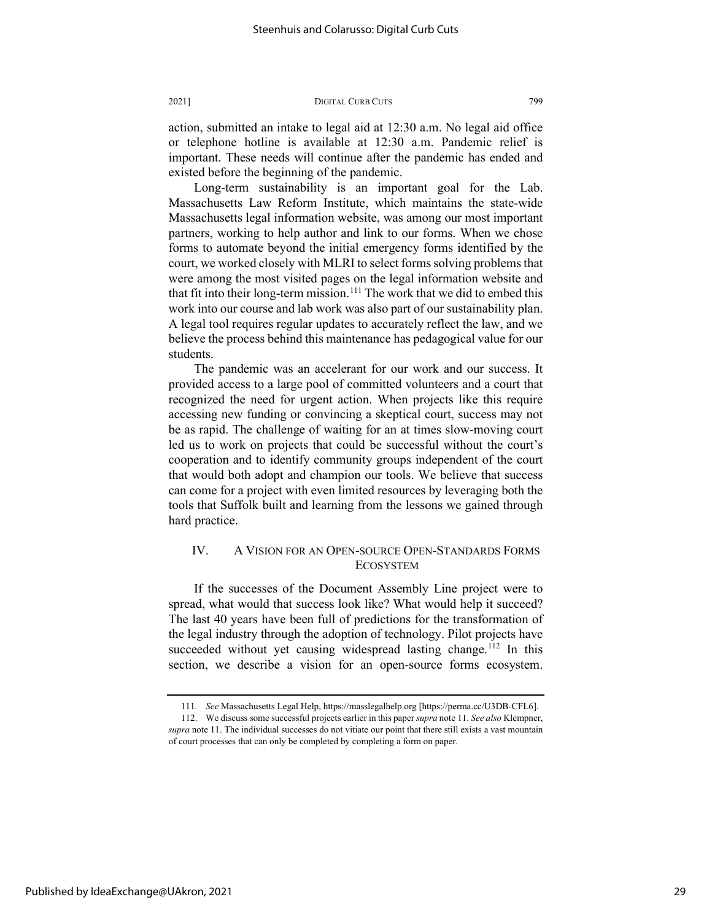action, submitted an intake to legal aid at 12:30 a.m. No legal aid office or telephone hotline is available at 12:30 a.m. Pandemic relief is important. These needs will continue after the pandemic has ended and existed before the beginning of the pandemic.

Long-term sustainability is an important goal for the Lab. Massachusetts Law Reform Institute, which maintains the state-wide Massachusetts legal information website, was among our most important partners, working to help author and link to our forms. When we chose forms to automate beyond the initial emergency forms identified by the court, we worked closely with MLRI to select forms solving problems that were among the most visited pages on the legal information website and that fit into their long-term mission.<sup>[111](#page-29-0)</sup> The work that we did to embed this work into our course and lab work was also part of our sustainability plan. A legal tool requires regular updates to accurately reflect the law, and we believe the process behind this maintenance has pedagogical value for our students.

The pandemic was an accelerant for our work and our success. It provided access to a large pool of committed volunteers and a court that recognized the need for urgent action. When projects like this require accessing new funding or convincing a skeptical court, success may not be as rapid. The challenge of waiting for an at times slow-moving court led us to work on projects that could be successful without the court's cooperation and to identify community groups independent of the court that would both adopt and champion our tools. We believe that success can come for a project with even limited resources by leveraging both the tools that Suffolk built and learning from the lessons we gained through hard practice.

## <span id="page-29-2"></span>IV. A VISION FOR AN OPEN-SOURCE OPEN-STANDARDS FORMS **ECOSYSTEM**

If the successes of the Document Assembly Line project were to spread, what would that success look like? What would help it succeed? The last 40 years have been full of predictions for the transformation of the legal industry through the adoption of technology. Pilot projects have succeeded without yet causing widespread lasting change.<sup>[112](#page-29-1)</sup> In this section, we describe a vision for an open-source forms ecosystem.

<sup>111</sup>*. See* Massachusetts Legal Help, https://masslegalhelp.org [https://perma.cc/U3DB-CFL6].

<span id="page-29-1"></span><span id="page-29-0"></span><sup>112.</sup> We discuss some successful projects earlier in this paper *supra* not[e 11.](#page-4-2) *See also* Klempner, *supra* note 11. The individual successes do not vitiate our point that there still exists a vast mountain of court processes that can only be completed by completing a form on paper.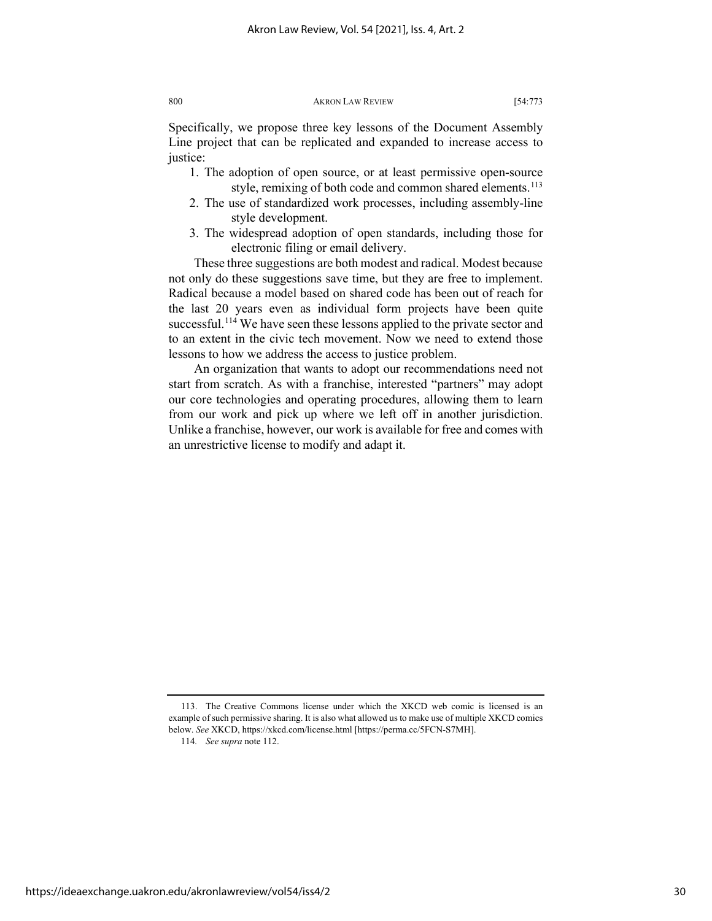Specifically, we propose three key lessons of the Document Assembly Line project that can be replicated and expanded to increase access to justice:

- 1. The adoption of open source, or at least permissive open-source style, remixing of both code and common shared elements.<sup>113</sup>
- 2. The use of standardized work processes, including assembly-line style development.
- 3. The widespread adoption of open standards, including those for electronic filing or email delivery.

These three suggestions are both modest and radical. Modest because not only do these suggestions save time, but they are free to implement. Radical because a model based on shared code has been out of reach for the last 20 years even as individual form projects have been quite successful.<sup>114</sup> We have seen these lessons applied to the private sector and to an extent in the civic tech movement. Now we need to extend those lessons to how we address the access to justice problem.

An organization that wants to adopt our recommendations need not start from scratch. As with a franchise, interested "partners" may adopt our core technologies and operating procedures, allowing them to learn from our work and pick up where we left off in another jurisdiction. Unlike a franchise, however, our work is available for free and comes with an unrestrictive license to modify and adapt it.

<span id="page-30-1"></span><span id="page-30-0"></span><sup>113.</sup> The Creative Commons license under which the XKCD web comic is licensed is an example of such permissive sharing. It is also what allowed us to make use of multiple XKCD comics below. *See* XKCD, https://xkcd.com/license.html [https://perma.cc/5FCN-S7MH].

<sup>114</sup>*. See supra* not[e 112.](#page-29-2)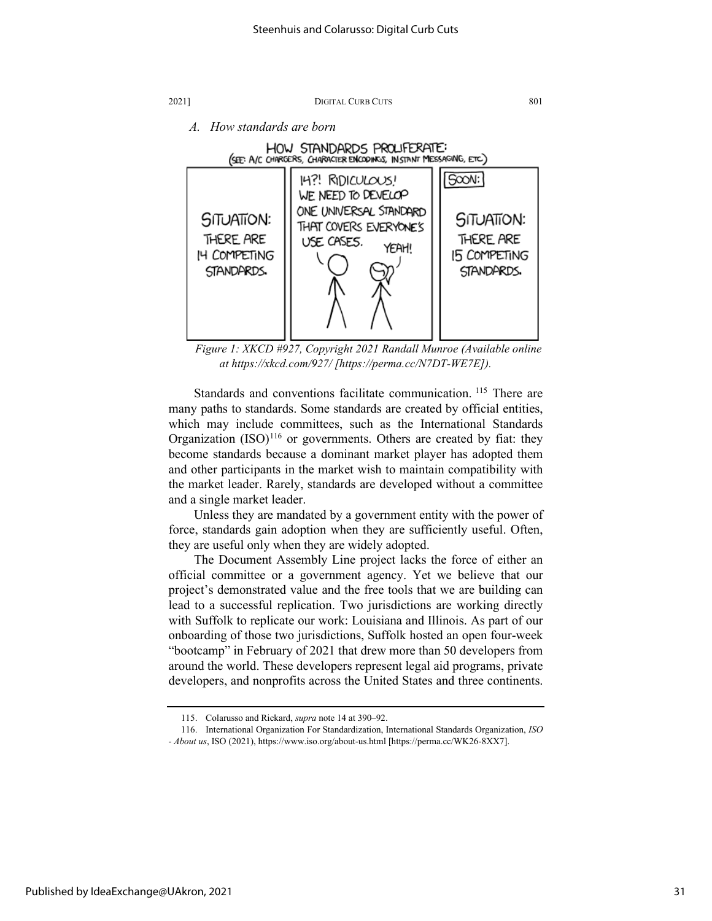

*A. How standards are born*



*Figure 1: XKCD #927, Copyright 2021 Randall Munroe (Available online at https://xkcd.com/927/ [https://perma.cc/N7DT-WE7E]).*

Standards and conventions facilitate communication. <sup>[115](#page-31-0)</sup> There are many paths to standards. Some standards are created by official entities, which may include committees, such as the International Standards Organization  $(ISO)^{116}$  $(ISO)^{116}$  $(ISO)^{116}$  or governments. Others are created by fiat: they become standards because a dominant market player has adopted them and other participants in the market wish to maintain compatibility with the market leader. Rarely, standards are developed without a committee and a single market leader.

Unless they are mandated by a government entity with the power of force, standards gain adoption when they are sufficiently useful. Often, they are useful only when they are widely adopted.

The Document Assembly Line project lacks the force of either an official committee or a government agency. Yet we believe that our project's demonstrated value and the free tools that we are building can lead to a successful replication. Two jurisdictions are working directly with Suffolk to replicate our work: Louisiana and Illinois. As part of our onboarding of those two jurisdictions, Suffolk hosted an open four-week "bootcamp" in February of 2021 that drew more than 50 developers from around the world. These developers represent legal aid programs, private developers, and nonprofits across the United States and three continents.

<sup>115.</sup> Colarusso and Rickard, *supra* note 14 at 390–92.

<sup>116.</sup> International Organization For Standardization, International Standards Organization, *ISO* 

<span id="page-31-1"></span><span id="page-31-0"></span>*<sup>-</sup> About us*, ISO (2021), https://www.iso.org/about-us.html [https://perma.cc/WK26-8XX7].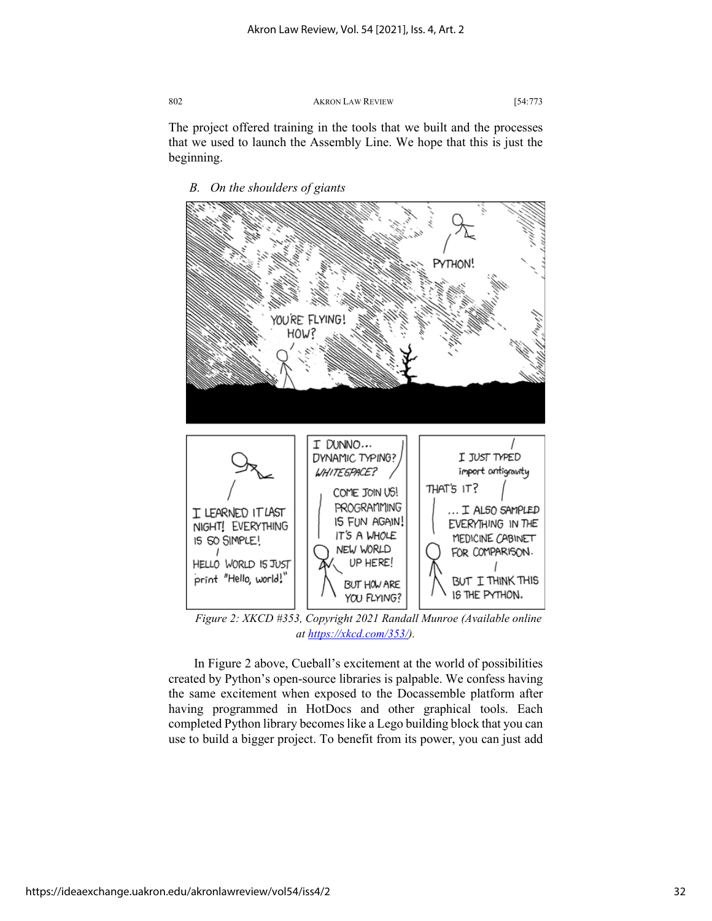The project offered training in the tools that we built and the processes that we used to launch the Assembly Line. We hope that this is just the beginning.



*B. On the shoulders of giants*

*Figure 2: XKCD #353, Copyright 2021 Randall Munroe (Available online at [https://xkcd.com/353/\)](https://xkcd.com/353/).*

In Figure 2 above, Cueball's excitement at the world of possibilities created by Python's open-source libraries is palpable. We confess having the same excitement when exposed to the Docassemble platform after having programmed in HotDocs and other graphical tools. Each completed Python library becomes like a Lego building block that you can use to build a bigger project. To benefit from its power, you can just add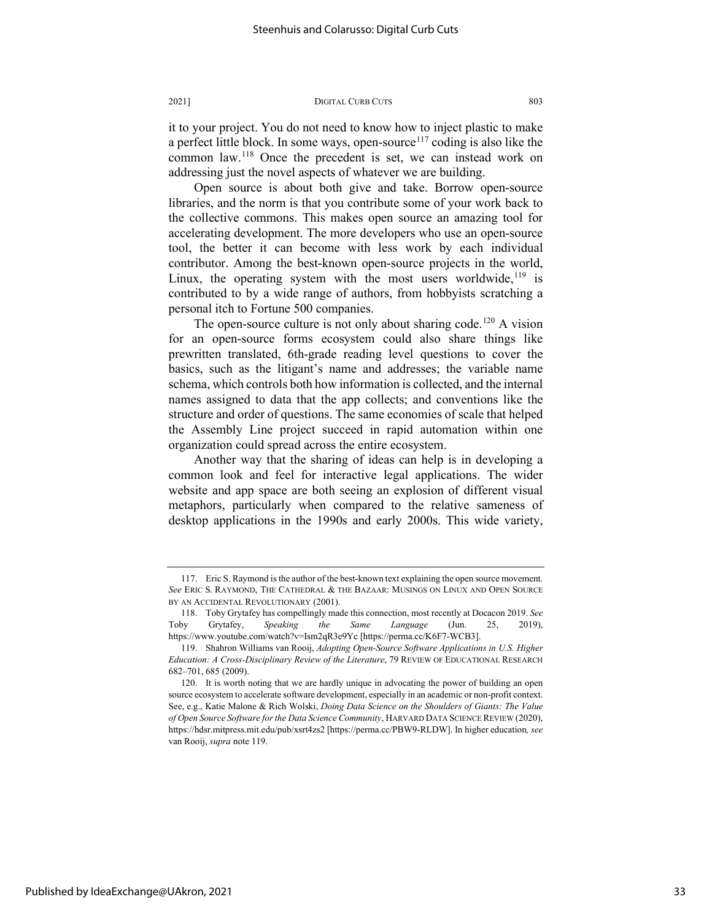it to your project. You do not need to know how to inject plastic to make a perfect little block. In some ways, open-source<sup>[117](#page-33-0)</sup> coding is also like the common law.[118](#page-33-1) Once the precedent is set, we can instead work on addressing just the novel aspects of whatever we are building.

Open source is about both give and take. Borrow open-source libraries, and the norm is that you contribute some of your work back to the collective commons. This makes open source an amazing tool for accelerating development. The more developers who use an open-source tool, the better it can become with less work by each individual contributor. Among the best-known open-source projects in the world, Linux, the operating system with the most users worldwide,  $19$  is contributed to by a wide range of authors, from hobbyists scratching a personal itch to Fortune 500 companies.

The open-source culture is not only about sharing code.<sup>[120](#page-33-3)</sup> A vision for an open-source forms ecosystem could also share things like prewritten translated, 6th-grade reading level questions to cover the basics, such as the litigant's name and addresses; the variable name schema, which controls both how information is collected, and the internal names assigned to data that the app collects; and conventions like the structure and order of questions. The same economies of scale that helped the Assembly Line project succeed in rapid automation within one organization could spread across the entire ecosystem.

Another way that the sharing of ideas can help is in developing a common look and feel for interactive legal applications. The wider website and app space are both seeing an explosion of different visual metaphors, particularly when compared to the relative sameness of desktop applications in the 1990s and early 2000s. This wide variety,

<span id="page-33-0"></span><sup>117.</sup> Eric S. Raymond is the author of the best-known text explaining the open source movement. *See* ERIC S. RAYMOND, THE CATHEDRAL & THE BAZAAR: MUSINGS ON LINUX AND OPEN SOURCE BY AN ACCIDENTAL REVOLUTIONARY (2001).

<span id="page-33-1"></span><sup>118.</sup> Toby Grytafey has compellingly made this connection, most recently at Docacon 2019. *See* Toby Grytafey, *Speaking the Same Language* (Jun. 25, 2019), https://www.youtube.com/watch?v=Ism2qR3e9Yc [https://perma.cc/K6F7-WCB3].

<span id="page-33-2"></span><sup>119.</sup> Shahron Williams van Rooij, *Adopting Open-Source Software Applications in U.S. Higher Education: A Cross-Disciplinary Review of the Literature*, 79 REVIEW OF EDUCATIONAL RESEARCH 682–701, 685 (2009).

<span id="page-33-3"></span><sup>120.</sup> It is worth noting that we are hardly unique in advocating the power of building an open source ecosystem to accelerate software development, especially in an academic or non-profit context. See, e.g., Katie Malone & Rich Wolski, *Doing Data Science on the Shoulders of Giants: The Value of Open Source Software for the Data Science Community*, HARVARD DATA SCIENCE REVIEW (2020), https://hdsr.mitpress.mit.edu/pub/xsrt4zs2 [https://perma.cc/PBW9-RLDW]. In higher education*, see*  van Rooij, *supra* note 119.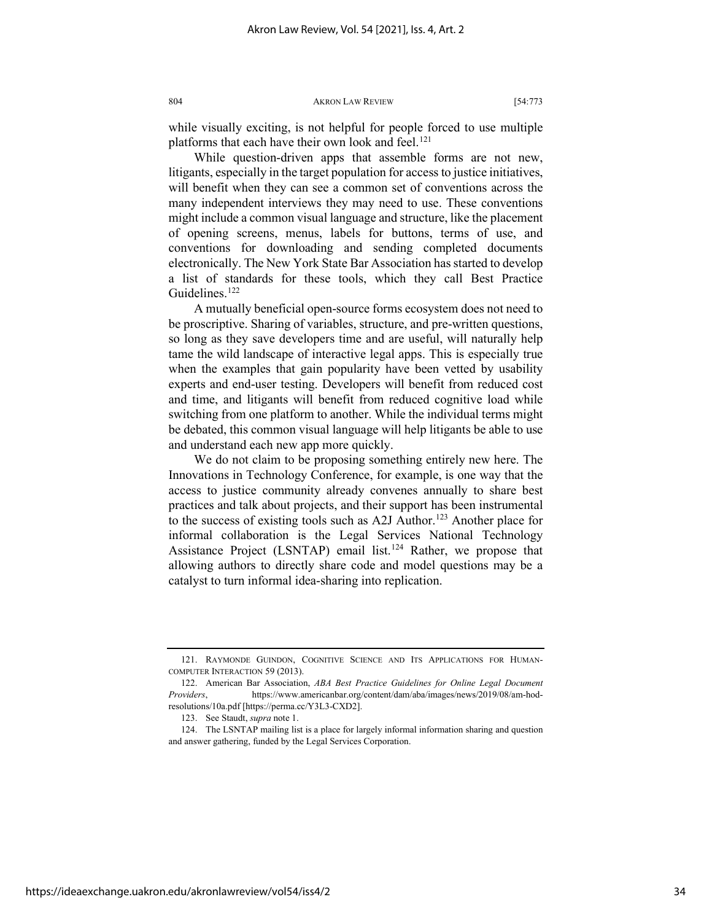while visually exciting, is not helpful for people forced to use multiple platforms that each have their own look and feel.<sup>[121](#page-34-0)</sup>

While question-driven apps that assemble forms are not new, litigants, especially in the target population for access to justice initiatives, will benefit when they can see a common set of conventions across the many independent interviews they may need to use. These conventions might include a common visual language and structure, like the placement of opening screens, menus, labels for buttons, terms of use, and conventions for downloading and sending completed documents electronically. The New York State Bar Association has started to develop a list of standards for these tools, which they call Best Practice Guidelines.<sup>[122](#page-34-1)</sup>

A mutually beneficial open-source forms ecosystem does not need to be proscriptive. Sharing of variables, structure, and pre-written questions, so long as they save developers time and are useful, will naturally help tame the wild landscape of interactive legal apps. This is especially true when the examples that gain popularity have been vetted by usability experts and end-user testing. Developers will benefit from reduced cost and time, and litigants will benefit from reduced cognitive load while switching from one platform to another. While the individual terms might be debated, this common visual language will help litigants be able to use and understand each new app more quickly.

We do not claim to be proposing something entirely new here. The Innovations in Technology Conference, for example, is one way that the access to justice community already convenes annually to share best practices and talk about projects, and their support has been instrumental to the success of existing tools such as A2J Author.<sup>[123](#page-34-2)</sup> Another place for informal collaboration is the Legal Services National Technology Assistance Project (LSNTAP) email list.<sup>[124](#page-34-3)</sup> Rather, we propose that allowing authors to directly share code and model questions may be a catalyst to turn informal idea-sharing into replication.

https://ideaexchange.uakron.edu/akronlawreview/vol54/iss4/2

<span id="page-34-0"></span><sup>121.</sup> RAYMONDE GUINDON, COGNITIVE SCIENCE AND ITS APPLICATIONS FOR HUMAN-COMPUTER INTERACTION 59 (2013).

<span id="page-34-1"></span><sup>122.</sup> American Bar Association, *ABA Best Practice Guidelines for Online Legal Document Providers*, https://www.americanbar.org/content/dam/aba/images/news/2019/08/am-hodresolutions/10a.pdf [https://perma.cc/Y3L3-CXD2].

<sup>123.</sup> See Staudt, *supra* note 1.

<span id="page-34-3"></span><span id="page-34-2"></span><sup>124.</sup> The LSNTAP mailing list is a place for largely informal information sharing and question and answer gathering, funded by the Legal Services Corporation.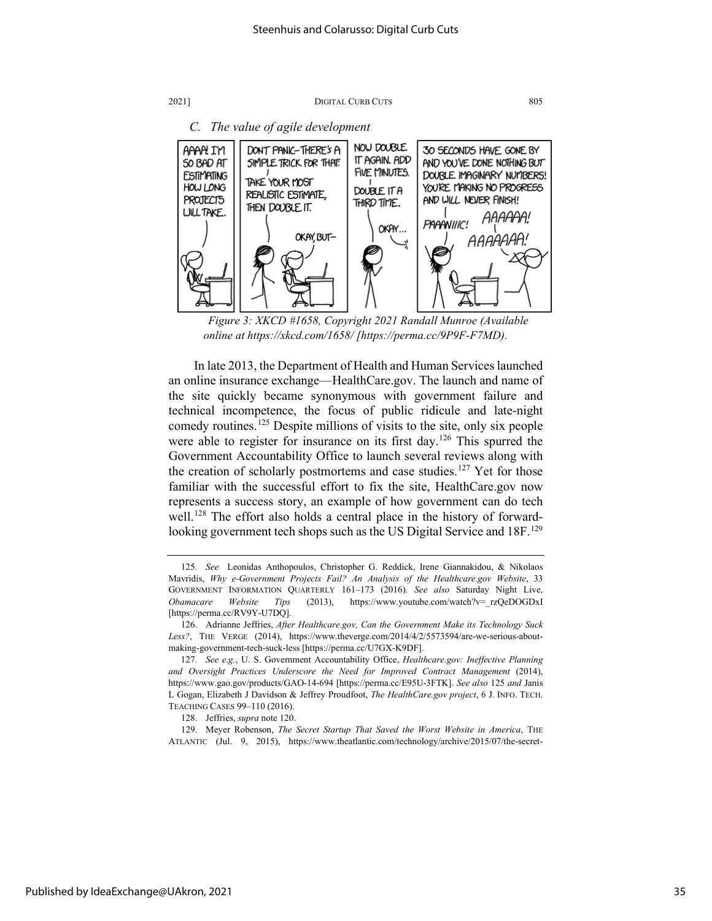

*Figure 3: XKCD #1658, Copyright 2021 Randall Munroe (Available online at https://xkcd.com/1658/ [https://perma.cc/9P9F-F7MD).*

In late 2013, the Department of Health and Human Services launched an online insurance exchange—HealthCare.gov. The launch and name of the site quickly became synonymous with government failure and technical incompetence, the focus of public ridicule and late-night comedy routines.<sup>[125](#page-35-0)</sup> Despite millions of visits to the site, only six people were able to register for insurance on its first day.<sup>[126](#page-35-1)</sup> This spurred the Government Accountability Office to launch several reviews along with the creation of scholarly postmortems and case studies.<sup>[127](#page-35-2)</sup> Yet for those familiar with the successful effort to fix the site, HealthCare.gov now represents a success story, an example of how government can do tech well.<sup>[128](#page-35-3)</sup> The effort also holds a central place in the history of forwardlooking government tech shops such as the US Digital Service and 18F.<sup>129</sup>

<span id="page-35-4"></span><span id="page-35-3"></span>129. Meyer Robenson, *The Secret Startup That Saved the Worst Website in America*, THE ATLANTIC (Jul. 9, 2015), https://www.theatlantic.com/technology/archive/2015/07/the-secret-

<span id="page-35-0"></span><sup>125</sup>*. See* Leonidas Anthopoulos, Christopher G. Reddick, Irene Giannakidou, & Nikolaos Mavridis, *Why e-Government Projects Fail? An Analysis of the Healthcare.gov Website*, 33 GOVERNMENT INFORMATION QUARTERLY 161–173 (2016). *See also* Saturday Night Live, *Obamacare Website Tips* (2013), https://www.youtube.com/watch?v=\_rzQeDOGDxI [https://perma.cc/RV9Y-U7DQ].

<span id="page-35-1"></span><sup>126.</sup> Adrianne Jeffries, *After Healthcare.gov, Can the Government Make its Technology Suck Less?*, THE VERGE (2014), https://www.theverge.com/2014/4/2/5573594/are-we-serious-aboutmaking-government-tech-suck-less [https://perma.cc/U7GX-K9DF].

<span id="page-35-2"></span><sup>127</sup>*. See e.g.*, U. S. Government Accountability Office, *Healthcare.gov: Ineffective Planning and Oversight Practices Underscore the Need for Improved Contract Management* (2014), https://www.gao.gov/products/GAO-14-694 [https://perma.cc/E95U-3FTK]. *See also* 125 *and* Janis L Gogan, Elizabeth J Davidson & Jeffrey Proudfoot, *The HealthCare.gov project*, 6 J. INFO. TECH. TEACHING CASES 99–110 (2016).

<sup>128.</sup> Jeffries, *supra* note 120.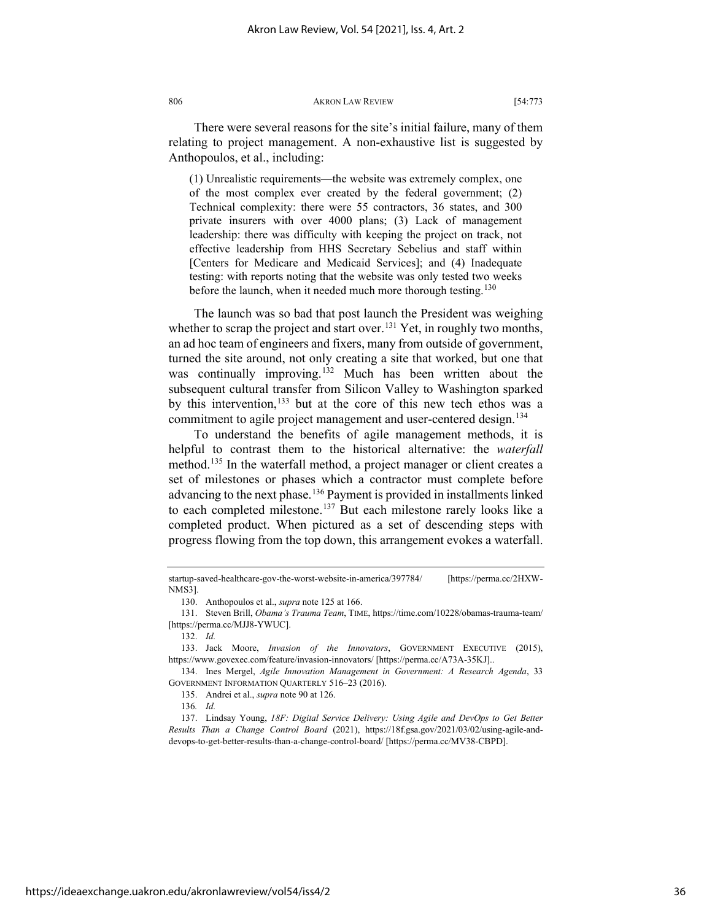There were several reasons for the site's initial failure, many of them relating to project management. A non-exhaustive list is suggested by Anthopoulos, et al., including:

(1) Unrealistic requirements—the website was extremely complex, one of the most complex ever created by the federal government; (2) Technical complexity: there were 55 contractors, 36 states, and 300 private insurers with over 4000 plans; (3) Lack of management leadership: there was difficulty with keeping the project on track, not effective leadership from HHS Secretary Sebelius and staff within [Centers for Medicare and Medicaid Services]; and (4) Inadequate testing: with reports noting that the website was only tested two weeks before the launch, when it needed much more thorough testing.<sup>[130](#page-36-0)</sup>

The launch was so bad that post launch the President was weighing whether to scrap the project and start over.<sup>[131](#page-36-1)</sup> Yet, in roughly two months, an ad hoc team of engineers and fixers, many from outside of government, turned the site around, not only creating a site that worked, but one that was continually improving.<sup>[132](#page-36-2)</sup> Much has been written about the subsequent cultural transfer from Silicon Valley to Washington sparked by this intervention,<sup>[133](#page-36-3)</sup> but at the core of this new tech ethos was a commitment to agile project management and user-centered design.<sup>[134](#page-36-4)</sup>

To understand the benefits of agile management methods, it is helpful to contrast them to the historical alternative: the *waterfall* method.<sup>[135](#page-36-5)</sup> In the waterfall method, a project manager or client creates a set of milestones or phases which a contractor must complete before advancing to the next phase.<sup>[136](#page-36-6)</sup> Payment is provided in installments linked to each completed milestone.<sup>[137](#page-36-7)</sup> But each milestone rarely looks like a completed product. When pictured as a set of descending steps with progress flowing from the top down, this arrangement evokes a waterfall.

startup-saved-healthcare-gov-the-worst-website-in-america/397784/ [https://perma.cc/2HXW-NMS3].

<sup>130.</sup> Anthopoulos et al., *supra* note 125 at 166.

<span id="page-36-1"></span><span id="page-36-0"></span><sup>131.</sup> Steven Brill, *Obama's Trauma Team*, TIME, https://time.com/10228/obamas-trauma-team/ [https://perma.cc/MJJ8-YWUC].

<sup>132.</sup> *Id.*

<span id="page-36-3"></span><span id="page-36-2"></span><sup>133.</sup> Jack Moore, *Invasion of the Innovators*, GOVERNMENT EXECUTIVE (2015), https://www.govexec.com/feature/invasion-innovators/ [https://perma.cc/A73A-35KJ]..

<span id="page-36-5"></span><span id="page-36-4"></span><sup>134.</sup> Ines Mergel, *Agile Innovation Management in Government: A Research Agenda*, 33 GOVERNMENT INFORMATION QUARTERLY 516–23 (2016).

<sup>135.</sup> Andrei et al., *supra* note 90 at 126.

<sup>136</sup>*. Id.*

<span id="page-36-7"></span><span id="page-36-6"></span><sup>137.</sup> Lindsay Young, *18F: Digital Service Delivery: Using Agile and DevOps to Get Better Results Than a Change Control Board* (2021), https://18f.gsa.gov/2021/03/02/using-agile-anddevops-to-get-better-results-than-a-change-control-board/ [https://perma.cc/MV38-CBPD].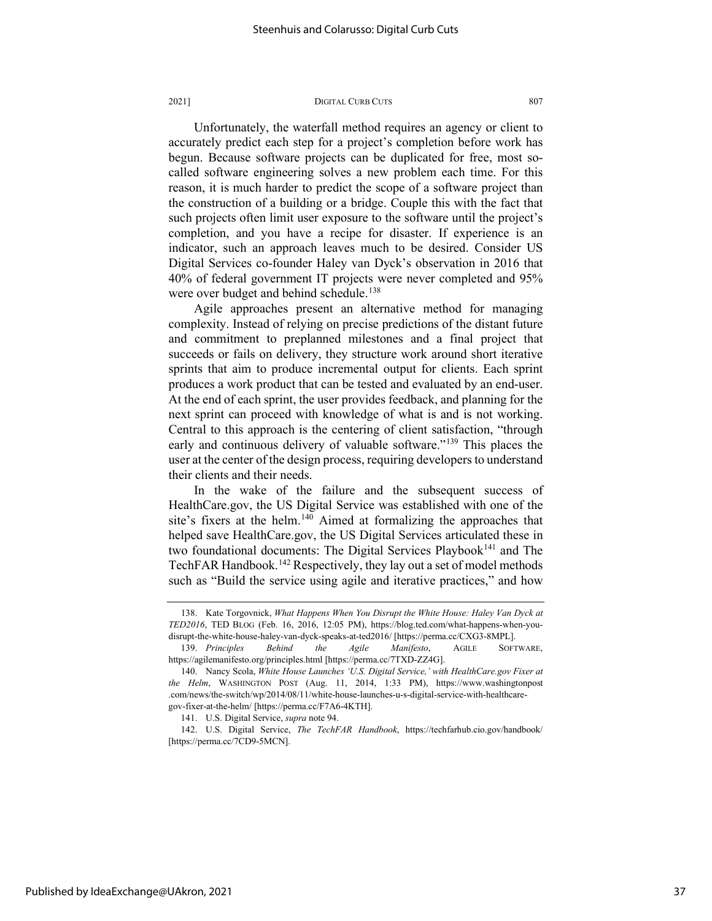Unfortunately, the waterfall method requires an agency or client to accurately predict each step for a project's completion before work has begun. Because software projects can be duplicated for free, most socalled software engineering solves a new problem each time. For this reason, it is much harder to predict the scope of a software project than the construction of a building or a bridge. Couple this with the fact that such projects often limit user exposure to the software until the project's completion, and you have a recipe for disaster. If experience is an indicator, such an approach leaves much to be desired. Consider US Digital Services co-founder Haley van Dyck's observation in 2016 that 40% of federal government IT projects were never completed and 95% were over budget and behind schedule.<sup>[138](#page-37-0)</sup>

Agile approaches present an alternative method for managing complexity. Instead of relying on precise predictions of the distant future and commitment to preplanned milestones and a final project that succeeds or fails on delivery, they structure work around short iterative sprints that aim to produce incremental output for clients. Each sprint produces a work product that can be tested and evaluated by an end-user. At the end of each sprint, the user provides feedback, and planning for the next sprint can proceed with knowledge of what is and is not working. Central to this approach is the centering of client satisfaction, "through early and continuous delivery of valuable software."<sup>[139](#page-37-1)</sup> This places the user at the center of the design process, requiring developers to understand their clients and their needs.

In the wake of the failure and the subsequent success of HealthCare.gov, the US Digital Service was established with one of the site's fixers at the helm.<sup>[140](#page-37-2)</sup> Aimed at formalizing the approaches that helped save HealthCare.gov, the US Digital Services articulated these in two foundational documents: The Digital Services Playbook<sup>[141](#page-37-3)</sup> and The TechFAR Handbook.<sup>[142](#page-37-4)</sup> Respectively, they lay out a set of model methods such as "Build the service using agile and iterative practices," and how

<span id="page-37-4"></span><span id="page-37-3"></span>142. U.S. Digital Service, *The TechFAR Handbook*, https://techfarhub.cio.gov/handbook/ [https://perma.cc/7CD9-5MCN].

<span id="page-37-0"></span><sup>138.</sup> Kate Torgovnick, *What Happens When You Disrupt the White House: Haley Van Dyck at TED2016*, TED BLOG (Feb. 16, 2016, 12:05 PM), https://blog.ted.com/what-happens-when-youdisrupt-the-white-house-haley-van-dyck-speaks-at-ted2016/ [https://perma.cc/CXG3-8MPL].

<span id="page-37-1"></span><sup>139.</sup> *Principles Behind the Agile Manifesto*, AGILE SOFTWARE, https://agilemanifesto.org/principles.html [https://perma.cc/7TXD-ZZ4G].

<span id="page-37-2"></span><sup>140.</sup> Nancy Scola, *White House Launches 'U.S. Digital Service,' with HealthCare.gov Fixer at the Helm*, WASHINGTON POST (Aug. 11, 2014, 1:33 PM), https://www.washingtonpost .com/news/the-switch/wp/2014/08/11/white-house-launches-u-s-digital-service-with-healthcaregov-fixer-at-the-helm/ [https://perma.cc/F7A6-4KTH].

<sup>141.</sup> U.S. Digital Service, *supra* note 94.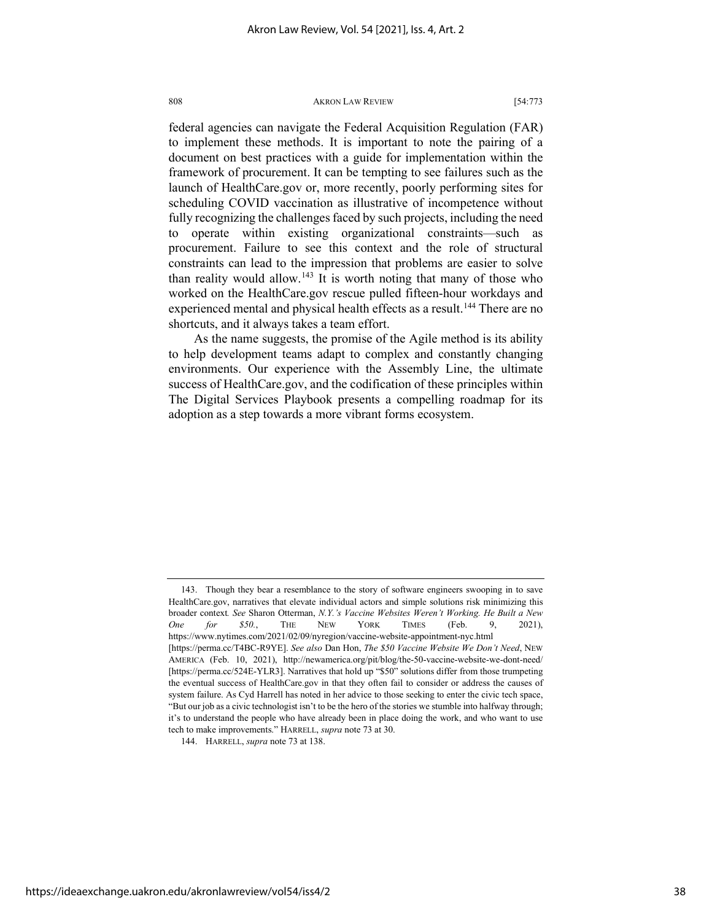federal agencies can navigate the Federal Acquisition Regulation (FAR) to implement these methods. It is important to note the pairing of a document on best practices with a guide for implementation within the framework of procurement. It can be tempting to see failures such as the launch of HealthCare.gov or, more recently, poorly performing sites for scheduling COVID vaccination as illustrative of incompetence without fully recognizing the challenges faced by such projects, including the need to operate within existing organizational constraints—such as procurement. Failure to see this context and the role of structural constraints can lead to the impression that problems are easier to solve than reality would allow.<sup>143</sup> It is worth noting that many of those who worked on the HealthCare.gov rescue pulled fifteen-hour workdays and experienced mental and physical health effects as a result.<sup>[144](#page-38-1)</sup> There are no shortcuts, and it always takes a team effort.

As the name suggests, the promise of the Agile method is its ability to help development teams adapt to complex and constantly changing environments. Our experience with the Assembly Line, the ultimate success of HealthCare.gov, and the codification of these principles within The Digital Services Playbook presents a compelling roadmap for its adoption as a step towards a more vibrant forms ecosystem.

<span id="page-38-0"></span><sup>143.</sup> Though they bear a resemblance to the story of software engineers swooping in to save HealthCare.gov, narratives that elevate individual actors and simple solutions risk minimizing this broader context*. See* Sharon Otterman, *N.Y.'s Vaccine Websites Weren't Working. He Built a New One for \$50.*, THE NEW YORK TIMES (Feb. 9, 2021), https://www.nytimes.com/2021/02/09/nyregion/vaccine-website-appointment-nyc.html [https://perma.cc/T4BC-R9YE]. *See also* Dan Hon, *The \$50 Vaccine Website We Don't Need*, NEW AMERICA (Feb. 10, 2021), http://newamerica.org/pit/blog/the-50-vaccine-website-we-dont-need/ [https://perma.cc/524E-YLR3]. Narratives that hold up "\$50" solutions differ from those trumpeting the eventual success of HealthCare.gov in that they often fail to consider or address the causes of system failure. As Cyd Harrell has noted in her advice to those seeking to enter the civic tech space, "But our job as a civic technologist isn't to be the hero of the stories we stumble into halfway through; it's to understand the people who have already been in place doing the work, and who want to use tech to make improvements." HARRELL, *supra* note 73 at 30.

<span id="page-38-1"></span><sup>144.</sup> HARRELL, *supra* note 73 at 138.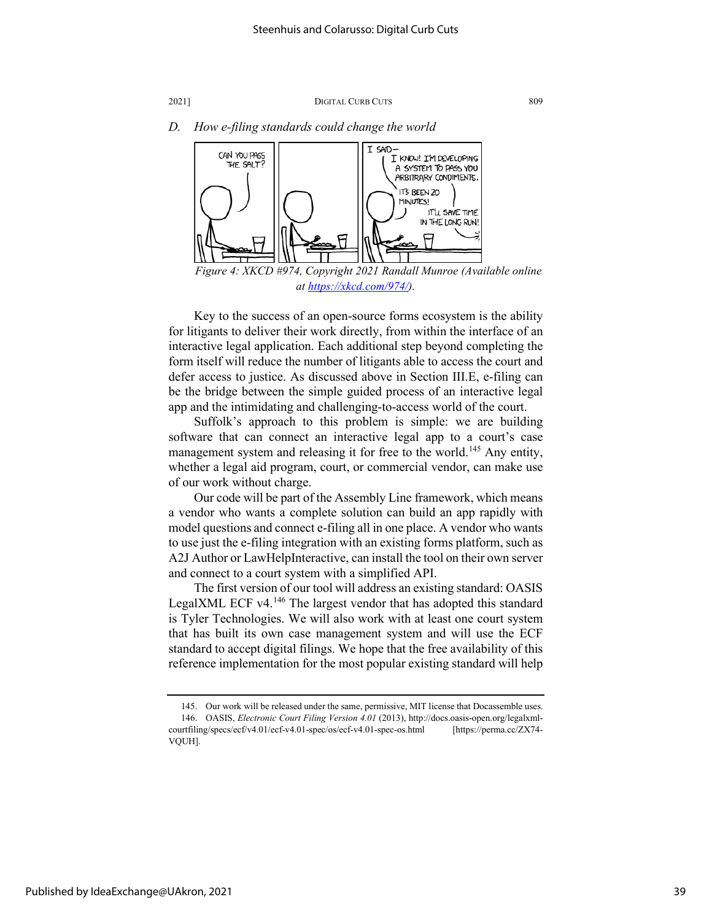

*D. How e-filing standards could change the world*

*Figure 4: XKCD #974, Copyright 2021 Randall Munroe (Available online at [https://xkcd.com/974/\)](https://xkcd.com/974/).*

Key to the success of an open-source forms ecosystem is the ability for litigants to deliver their work directly, from within the interface of an interactive legal application. Each additional step beyond completing the form itself will reduce the number of litigants able to access the court and defer access to justice. As discussed above in Section III.E, e-filing can be the bridge between the simple guided process of an interactive legal app and the intimidating and challenging-to-access world of the court.

Suffolk's approach to this problem is simple: we are building software that can connect an interactive legal app to a court's case management system and releasing it for free to the world.<sup>145</sup> Any entity, whether a legal aid program, court, or commercial vendor, can make use of our work without charge.

Our code will be part of the Assembly Line framework, which means a vendor who wants a complete solution can build an app rapidly with model questions and connect e-filing all in one place. A vendor who wants to use just the e-filing integration with an existing forms platform, such as A2J Author or LawHelpInteractive, can install the tool on their own server and connect to a court system with a simplified API.

The first version of our tool will address an existing standard: OASIS LegalXML ECF v4.<sup>[146](#page-39-1)</sup> The largest vendor that has adopted this standard is Tyler Technologies. We will also work with at least one court system that has built its own case management system and will use the ECF standard to accept digital filings. We hope that the free availability of this reference implementation for the most popular existing standard will help

<span id="page-39-1"></span><span id="page-39-0"></span><sup>145.</sup> Our work will be released under the same, permissive, MIT license that Docassemble uses. 146. OASIS, *Electronic Court Filing Version 4.01* (2013), http://docs.oasis-open.org/legalxmlcourtfiling/specs/ecf/v4.01/ecf-v4.01-spec/os/ecf-v4.01-spec-os.html [https://perma.cc/ZX74- VQUH].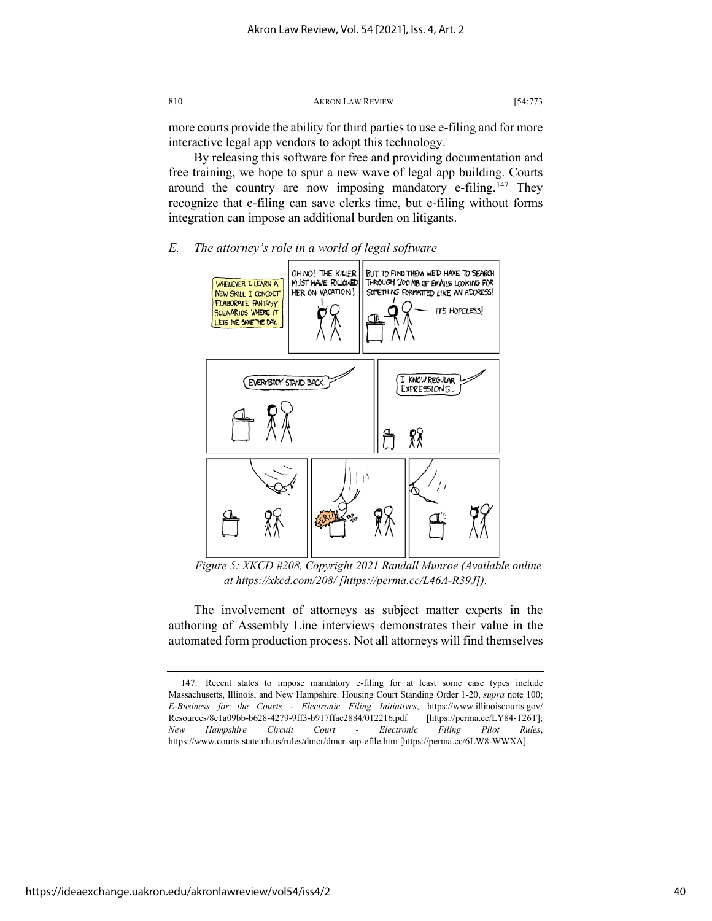more courts provide the ability for third parties to use e-filing and for more interactive legal app vendors to adopt this technology.

By releasing this software for free and providing documentation and free training, we hope to spur a new wave of legal app building. Courts around the country are now imposing mandatory e-filing.<sup>[147](#page-40-0)</sup> They recognize that e-filing can save clerks time, but e-filing without forms integration can impose an additional burden on litigants.

#### *E. The attorney's role in a world of legal software*



*Figure 5: XKCD #208, Copyright 2021 Randall Munroe (Available online at https://xkcd.com/208/ [https://perma.cc/L46A-R39J]).*

The involvement of attorneys as subject matter experts in the authoring of Assembly Line interviews demonstrates their value in the automated form production process. Not all attorneys will find themselves

<span id="page-40-0"></span><sup>147.</sup> Recent states to impose mandatory e-filing for at least some case types include Massachusetts, Illinois, and New Hampshire. Housing Court Standing Order 1-20, *supra* note 100; *E-Business for the Courts - Electronic Filing Initiatives*, https://www.illinoiscourts.gov/ Resources/8e1a09bb-b628-4279-9ff3-b917ffae2884/012216.pdf [https://perma.cc/LY84-T26T]; *New Hampshire Circuit Court - Electronic Filing Pilot Rules*, https://www.courts.state.nh.us/rules/dmcr/dmcr-sup-efile.htm [https://perma.cc/6LW8-WWXA].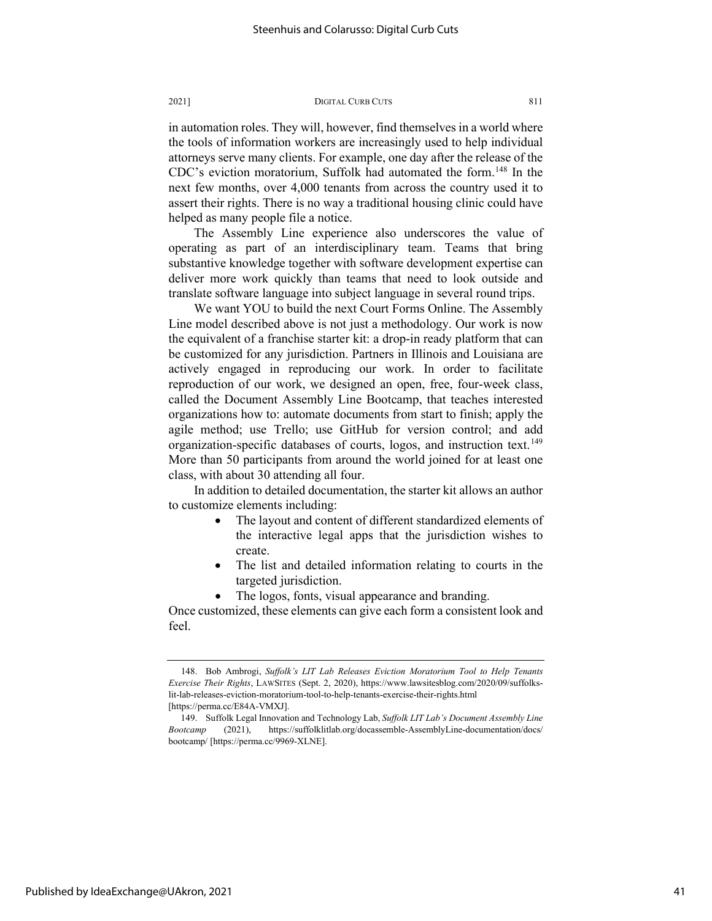in automation roles. They will, however, find themselves in a world where the tools of information workers are increasingly used to help individual attorneys serve many clients. For example, one day after the release of the CDC's eviction moratorium, Suffolk had automated the form.<sup>[148](#page-41-0)</sup> In the next few months, over 4,000 tenants from across the country used it to assert their rights. There is no way a traditional housing clinic could have helped as many people file a notice.

The Assembly Line experience also underscores the value of operating as part of an interdisciplinary team. Teams that bring substantive knowledge together with software development expertise can deliver more work quickly than teams that need to look outside and translate software language into subject language in several round trips.

We want YOU to build the next Court Forms Online. The Assembly Line model described above is not just a methodology. Our work is now the equivalent of a franchise starter kit: a drop-in ready platform that can be customized for any jurisdiction. Partners in Illinois and Louisiana are actively engaged in reproducing our work. In order to facilitate reproduction of our work, we designed an open, free, four-week class, called the Document Assembly Line Bootcamp, that teaches interested organizations how to: automate documents from start to finish; apply the agile method; use Trello; use GitHub for version control; and add organization-specific databases of courts, logos, and instruction text.<sup>149</sup> More than 50 participants from around the world joined for at least one class, with about 30 attending all four.

In addition to detailed documentation, the starter kit allows an author to customize elements including:

- The layout and content of different standardized elements of the interactive legal apps that the jurisdiction wishes to create.
- The list and detailed information relating to courts in the targeted jurisdiction.
- The logos, fonts, visual appearance and branding.

Once customized, these elements can give each form a consistent look and feel.

<span id="page-41-0"></span><sup>148.</sup> Bob Ambrogi, *Suffolk's LIT Lab Releases Eviction Moratorium Tool to Help Tenants Exercise Their Rights*, LAWSITES (Sept. 2, 2020), https://www.lawsitesblog.com/2020/09/suffolkslit-lab-releases-eviction-moratorium-tool-to-help-tenants-exercise-their-rights.html [https://perma.cc/E84A-VMXJ].

<span id="page-41-1"></span><sup>149.</sup> Suffolk Legal Innovation and Technology Lab, *Suffolk LIT Lab's Document Assembly Line Bootcamp* (2021), https://suffolklitlab.org/docassemble-AssemblyLine-documentation/docs/ bootcamp/ [https://perma.cc/9969-XLNE].